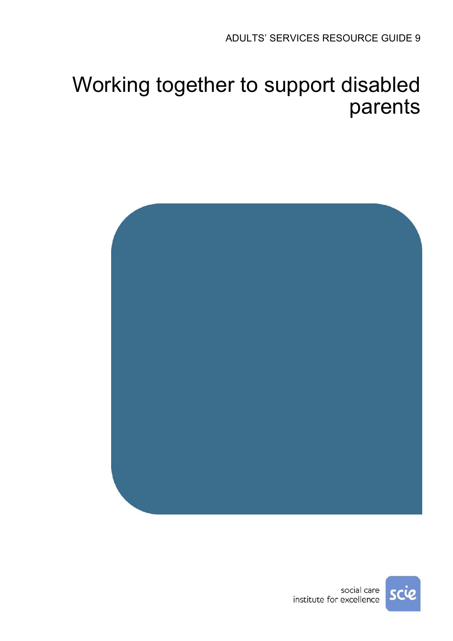# Working together to support disabled parents



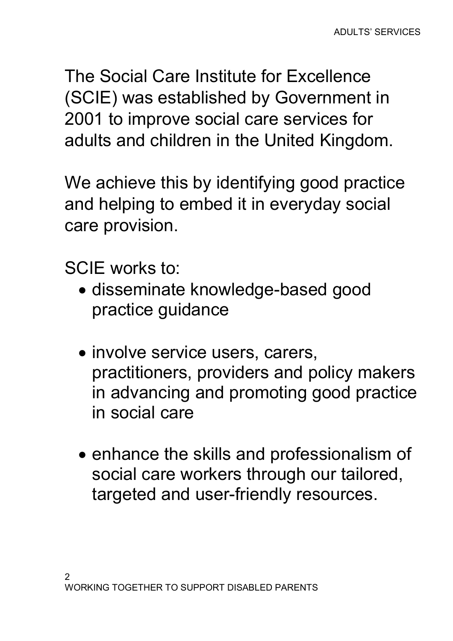The Social Care Institute for Excellence (SCIE) was established by Government in 2001 to improve social care services for adults and children in the United Kingdom.

We achieve this by identifying good practice and helping to embed it in everyday social care provision.

SCIE works to:

- disseminate knowledge-based good practice guidance
- involve service users, carers, practitioners, providers and policy makers in advancing and promoting good practice in social care
- enhance the skills and professionalism of social care workers through our tailored, targeted and user-friendly resources.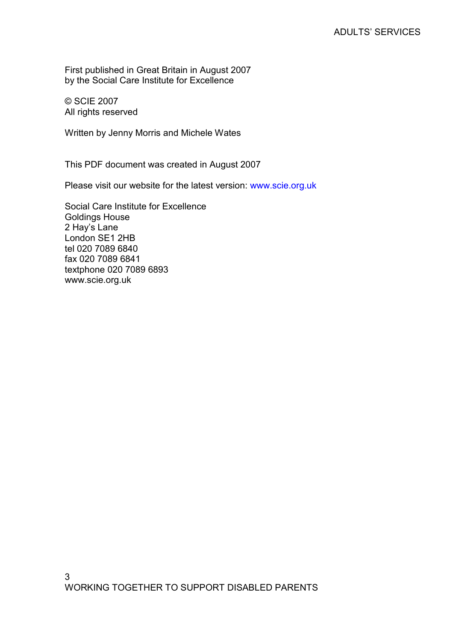First published in Great Britain in August 2007 by the Social Care Institute for Excellence

© SCIE 2007 All rights reserved

Written by Jenny Morris and Michele Wates

This PDF document was created in August 2007

Please visit our website for the latest version: www.scie.org.uk

Social Care Institute for Excellence Goldings House 2 Hay's Lane London SE1 2HB tel 020 7089 6840 fax 020 7089 6841 textphone 020 7089 6893 www.scie.org.uk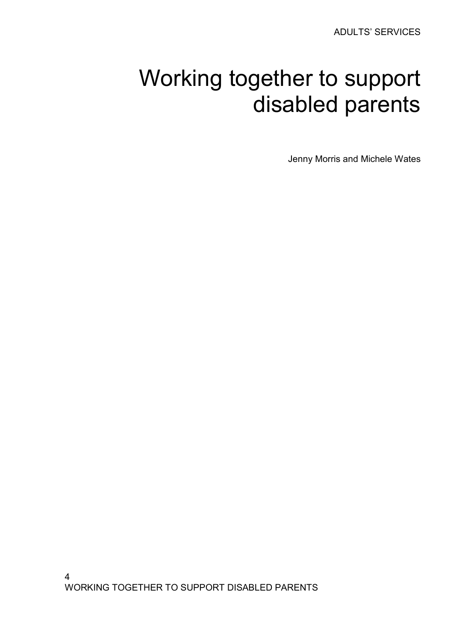# Working together to support disabled parents

Jenny Morris and Michele Wates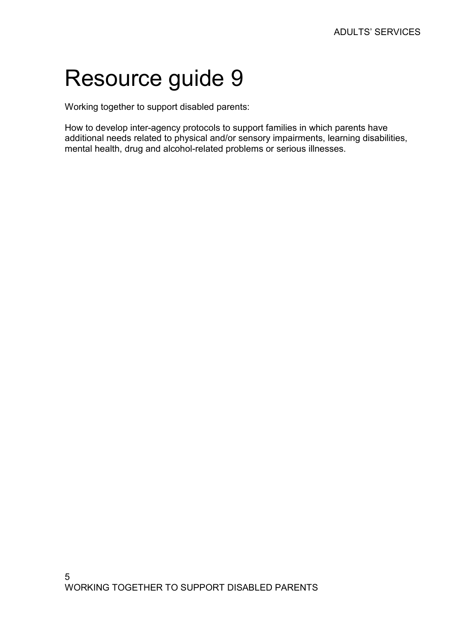# Resource guide 9

Working together to support disabled parents:

How to develop inter-agency protocols to support families in which parents have additional needs related to physical and/or sensory impairments, learning disabilities, mental health, drug and alcohol-related problems or serious illnesses.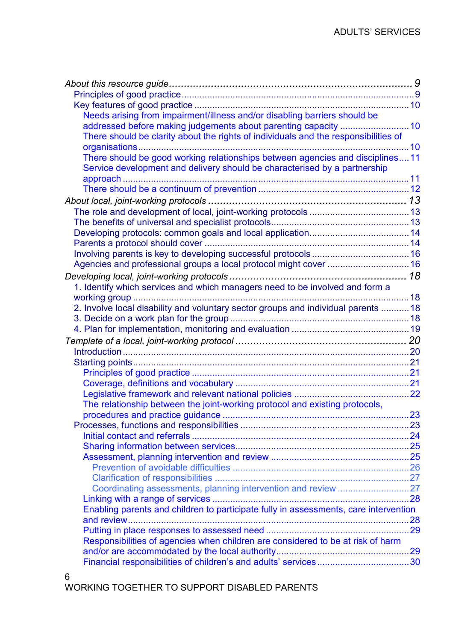| Needs arising from impairment/illness and/or disabling barriers should be            |  |
|--------------------------------------------------------------------------------------|--|
| addressed before making judgements about parenting capacity  10                      |  |
| There should be clarity about the rights of individuals and the responsibilities of  |  |
|                                                                                      |  |
| There should be good working relationships between agencies and disciplines11        |  |
| Service development and delivery should be characterised by a partnership            |  |
|                                                                                      |  |
|                                                                                      |  |
|                                                                                      |  |
|                                                                                      |  |
|                                                                                      |  |
|                                                                                      |  |
|                                                                                      |  |
|                                                                                      |  |
| Agencies and professional groups a local protocol might cover  16                    |  |
|                                                                                      |  |
| 1. Identify which services and which managers need to be involved and form a         |  |
|                                                                                      |  |
| 2. Involve local disability and voluntary sector groups and individual parents  18   |  |
|                                                                                      |  |
|                                                                                      |  |
|                                                                                      |  |
|                                                                                      |  |
|                                                                                      |  |
|                                                                                      |  |
|                                                                                      |  |
|                                                                                      |  |
| The relationship between the joint-working protocol and existing protocols,          |  |
|                                                                                      |  |
|                                                                                      |  |
|                                                                                      |  |
|                                                                                      |  |
|                                                                                      |  |
|                                                                                      |  |
| Coordinating assessments, planning intervention and review 27                        |  |
|                                                                                      |  |
| Enabling parents and children to participate fully in assessments, care intervention |  |
|                                                                                      |  |
|                                                                                      |  |
| Responsibilities of agencies when children are considered to be at risk of harm      |  |
|                                                                                      |  |
|                                                                                      |  |
|                                                                                      |  |

#### 6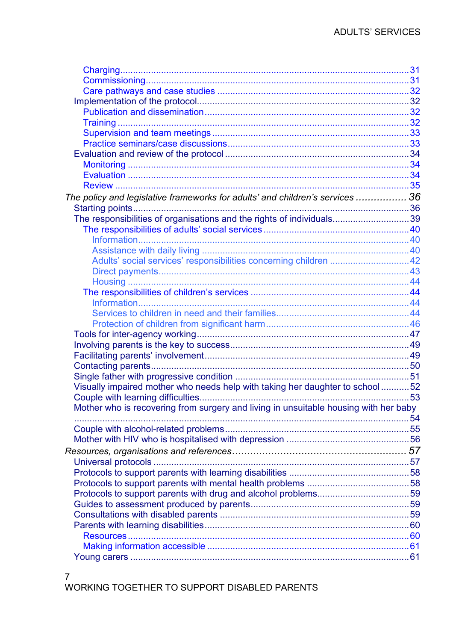| The policy and legislative frameworks for adults' and children's services  36        |  |
|--------------------------------------------------------------------------------------|--|
|                                                                                      |  |
| The responsibilities of organisations and the rights of individuals39                |  |
|                                                                                      |  |
|                                                                                      |  |
|                                                                                      |  |
| Adults' social services' responsibilities concerning children  42                    |  |
|                                                                                      |  |
|                                                                                      |  |
|                                                                                      |  |
|                                                                                      |  |
|                                                                                      |  |
|                                                                                      |  |
|                                                                                      |  |
|                                                                                      |  |
|                                                                                      |  |
|                                                                                      |  |
|                                                                                      |  |
| Visually impaired mother who needs help with taking her daughter to school52         |  |
|                                                                                      |  |
| Mother who is recovering from surgery and living in unsuitable housing with her baby |  |
|                                                                                      |  |
|                                                                                      |  |
|                                                                                      |  |
|                                                                                      |  |
|                                                                                      |  |
|                                                                                      |  |
|                                                                                      |  |
|                                                                                      |  |
|                                                                                      |  |
|                                                                                      |  |
|                                                                                      |  |
|                                                                                      |  |
|                                                                                      |  |
|                                                                                      |  |
|                                                                                      |  |

#### $\overline{7}$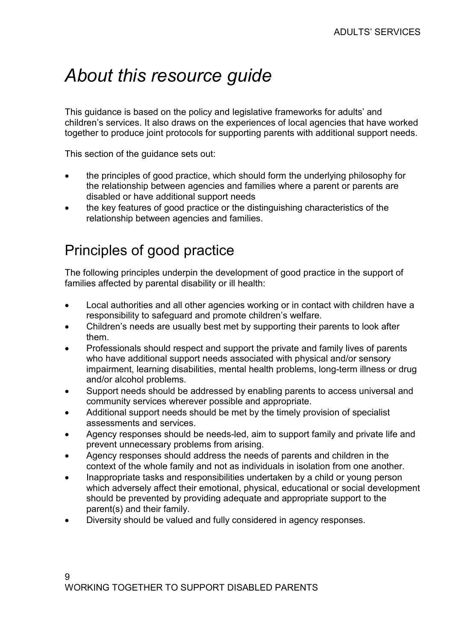# About this resource guide

This guidance is based on the policy and legislative frameworks for adults' and children's services. It also draws on the experiences of local agencies that have worked together to produce joint protocols for supporting parents with additional support needs.

This section of the guidance sets out:

- the principles of good practice, which should form the underlying philosophy for the relationship between agencies and families where a parent or parents are disabled or have additional support needs
- the key features of good practice or the distinguishing characteristics of the relationship between agencies and families.

# Principles of good practice

The following principles underpin the development of good practice in the support of families affected by parental disability or ill health:

- Local authorities and all other agencies working or in contact with children have a responsibility to safeguard and promote children's welfare.
- Children's needs are usually best met by supporting their parents to look after them.
- Professionals should respect and support the private and family lives of parents who have additional support needs associated with physical and/or sensory impairment, learning disabilities, mental health problems, long-term illness or drug and/or alcohol problems.
- Support needs should be addressed by enabling parents to access universal and community services wherever possible and appropriate.
- Additional support needs should be met by the timely provision of specialist assessments and services.
- Agency responses should be needs-led, aim to support family and private life and prevent unnecessary problems from arising.
- Agency responses should address the needs of parents and children in the context of the whole family and not as individuals in isolation from one another.
- Inappropriate tasks and responsibilities undertaken by a child or young person which adversely affect their emotional, physical, educational or social development should be prevented by providing adequate and appropriate support to the parent(s) and their family.
- Diversity should be valued and fully considered in agency responses.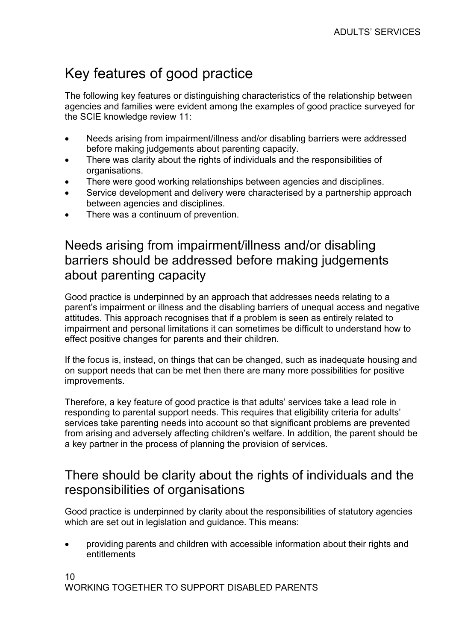# Key features of good practice

The following key features or distinguishing characteristics of the relationship between agencies and families were evident among the examples of good practice surveyed for the SCIE knowledge review 11:

- Needs arising from impairment/illness and/or disabling barriers were addressed before making judgements about parenting capacity.
- There was clarity about the rights of individuals and the responsibilities of organisations.
- There were good working relationships between agencies and disciplines.
- Service development and delivery were characterised by a partnership approach between agencies and disciplines.
- There was a continuum of prevention.

### Needs arising from impairment/illness and/or disabling barriers should be addressed before making judgements about parenting capacity

Good practice is underpinned by an approach that addresses needs relating to a parent's impairment or illness and the disabling barriers of unequal access and negative attitudes. This approach recognises that if a problem is seen as entirely related to impairment and personal limitations it can sometimes be difficult to understand how to effect positive changes for parents and their children.

If the focus is, instead, on things that can be changed, such as inadequate housing and on support needs that can be met then there are many more possibilities for positive improvements.

Therefore, a key feature of good practice is that adults' services take a lead role in responding to parental support needs. This requires that eligibility criteria for adults' services take parenting needs into account so that significant problems are prevented from arising and adversely affecting children's welfare. In addition, the parent should be a key partner in the process of planning the provision of services.

#### There should be clarity about the rights of individuals and the responsibilities of organisations

Good practice is underpinned by clarity about the responsibilities of statutory agencies which are set out in legislation and guidance. This means:

• providing parents and children with accessible information about their rights and entitlements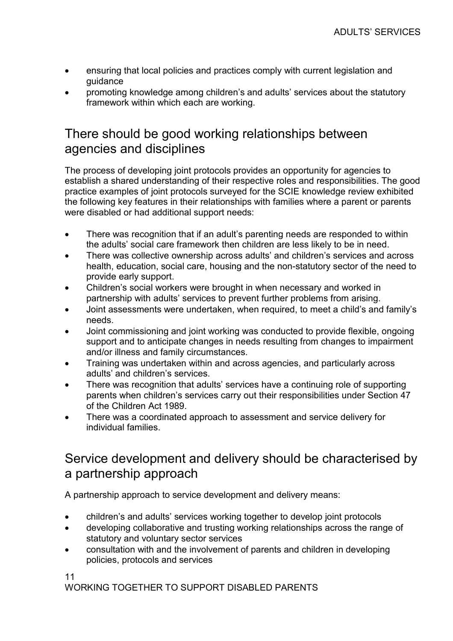- ensuring that local policies and practices comply with current legislation and guidance
- promoting knowledge among children's and adults' services about the statutory framework within which each are working.

### There should be good working relationships between agencies and disciplines

The process of developing joint protocols provides an opportunity for agencies to establish a shared understanding of their respective roles and responsibilities. The good practice examples of joint protocols surveyed for the SCIE knowledge review exhibited the following key features in their relationships with families where a parent or parents were disabled or had additional support needs:

- There was recognition that if an adult's parenting needs are responded to within the adults' social care framework then children are less likely to be in need.
- There was collective ownership across adults' and children's services and across health, education, social care, housing and the non-statutory sector of the need to provide early support.
- Children's social workers were brought in when necessary and worked in partnership with adults' services to prevent further problems from arising.
- Joint assessments were undertaken, when required, to meet a child's and family's needs.
- Joint commissioning and joint working was conducted to provide flexible, ongoing support and to anticipate changes in needs resulting from changes to impairment and/or illness and family circumstances.
- Training was undertaken within and across agencies, and particularly across adults' and children's services.
- There was recognition that adults' services have a continuing role of supporting parents when children's services carry out their responsibilities under Section 47 of the Children Act 1989.
- There was a coordinated approach to assessment and service delivery for individual families.

### Service development and delivery should be characterised by a partnership approach

A partnership approach to service development and delivery means:

- children's and adults' services working together to develop joint protocols
- developing collaborative and trusting working relationships across the range of statutory and voluntary sector services
- consultation with and the involvement of parents and children in developing policies, protocols and services

11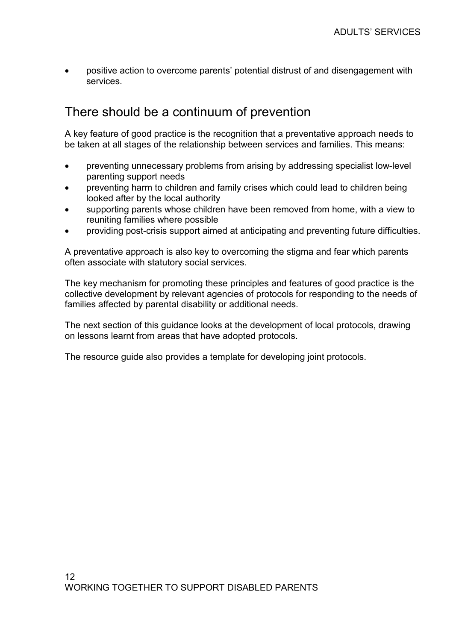• positive action to overcome parents' potential distrust of and disengagement with services.

#### There should be a continuum of prevention

A key feature of good practice is the recognition that a preventative approach needs to be taken at all stages of the relationship between services and families. This means:

- preventing unnecessary problems from arising by addressing specialist low-level parenting support needs
- preventing harm to children and family crises which could lead to children being looked after by the local authority
- supporting parents whose children have been removed from home, with a view to reuniting families where possible
- providing post-crisis support aimed at anticipating and preventing future difficulties.

A preventative approach is also key to overcoming the stigma and fear which parents often associate with statutory social services.

The key mechanism for promoting these principles and features of good practice is the collective development by relevant agencies of protocols for responding to the needs of families affected by parental disability or additional needs.

The next section of this guidance looks at the development of local protocols, drawing on lessons learnt from areas that have adopted protocols.

The resource guide also provides a template for developing joint protocols.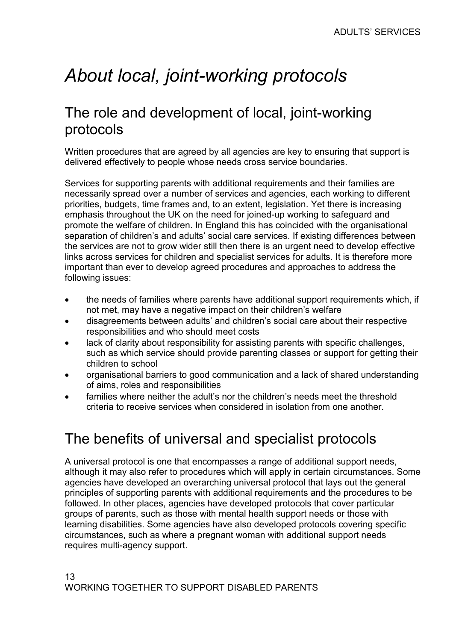# About local, joint-working protocols

# The role and development of local, joint-working protocols

Written procedures that are agreed by all agencies are key to ensuring that support is delivered effectively to people whose needs cross service boundaries.

Services for supporting parents with additional requirements and their families are necessarily spread over a number of services and agencies, each working to different priorities, budgets, time frames and, to an extent, legislation. Yet there is increasing emphasis throughout the UK on the need for joined-up working to safeguard and promote the welfare of children. In England this has coincided with the organisational separation of children's and adults' social care services. If existing differences between the services are not to grow wider still then there is an urgent need to develop effective links across services for children and specialist services for adults. It is therefore more important than ever to develop agreed procedures and approaches to address the following issues:

- the needs of families where parents have additional support requirements which, if not met, may have a negative impact on their children's welfare
- disagreements between adults' and children's social care about their respective responsibilities and who should meet costs
- lack of clarity about responsibility for assisting parents with specific challenges, such as which service should provide parenting classes or support for getting their children to school
- organisational barriers to good communication and a lack of shared understanding of aims, roles and responsibilities
- families where neither the adult's nor the children's needs meet the threshold criteria to receive services when considered in isolation from one another.

# The benefits of universal and specialist protocols

A universal protocol is one that encompasses a range of additional support needs, although it may also refer to procedures which will apply in certain circumstances. Some agencies have developed an overarching universal protocol that lays out the general principles of supporting parents with additional requirements and the procedures to be followed. In other places, agencies have developed protocols that cover particular groups of parents, such as those with mental health support needs or those with learning disabilities. Some agencies have also developed protocols covering specific circumstances, such as where a pregnant woman with additional support needs requires multi-agency support.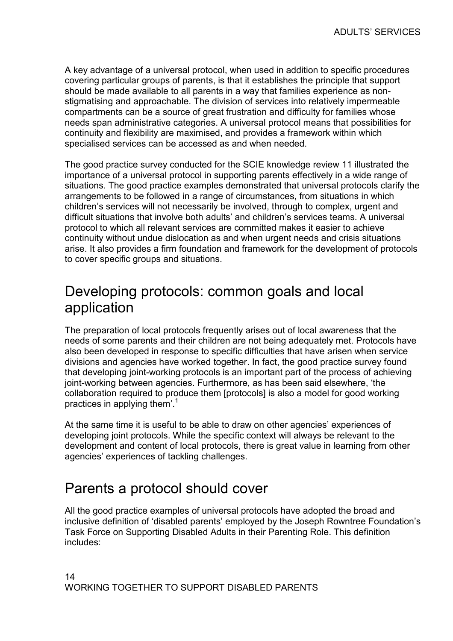A key advantage of a universal protocol, when used in addition to specific procedures covering particular groups of parents, is that it establishes the principle that support should be made available to all parents in a way that families experience as nonstigmatising and approachable. The division of services into relatively impermeable compartments can be a source of great frustration and difficulty for families whose needs span administrative categories. A universal protocol means that possibilities for continuity and flexibility are maximised, and provides a framework within which specialised services can be accessed as and when needed.

The good practice survey conducted for the SCIE knowledge review 11 illustrated the importance of a universal protocol in supporting parents effectively in a wide range of situations. The good practice examples demonstrated that universal protocols clarify the arrangements to be followed in a range of circumstances, from situations in which children's services will not necessarily be involved, through to complex, urgent and difficult situations that involve both adults' and children's services teams. A universal protocol to which all relevant services are committed makes it easier to achieve continuity without undue dislocation as and when urgent needs and crisis situations arise. It also provides a firm foundation and framework for the development of protocols to cover specific groups and situations.

## Developing protocols: common goals and local application

The preparation of local protocols frequently arises out of local awareness that the needs of some parents and their children are not being adequately met. Protocols have also been developed in response to specific difficulties that have arisen when service divisions and agencies have worked together. In fact, the good practice survey found that developing joint-working protocols is an important part of the process of achieving joint-working between agencies. Furthermore, as has been said elsewhere, 'the collaboration required to produce them [protocols] is also a model for good working practices in applying them'.<sup>1</sup>

At the same time it is useful to be able to draw on other agencies' experiences of developing joint protocols. While the specific context will always be relevant to the development and content of local protocols, there is great value in learning from other agencies' experiences of tackling challenges.

## Parents a protocol should cover

All the good practice examples of universal protocols have adopted the broad and inclusive definition of 'disabled parents' employed by the Joseph Rowntree Foundation's Task Force on Supporting Disabled Adults in their Parenting Role. This definition includes: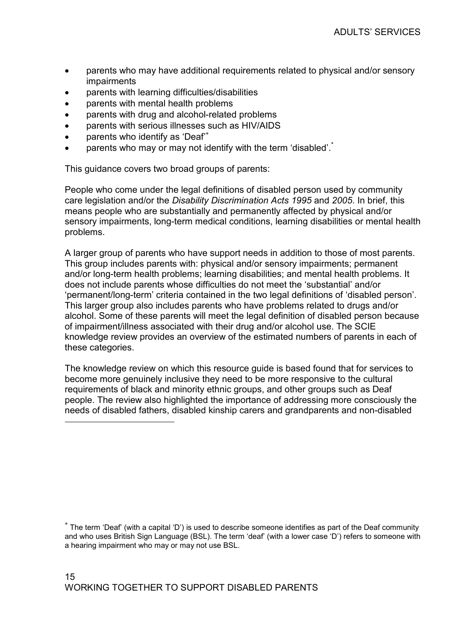- parents who may have additional requirements related to physical and/or sensory impairments
- parents with learning difficulties/disabilities
- parents with mental health problems
- parents with drug and alcohol-related problems
- parents with serious illnesses such as HIV/AIDS
- parents who identify as 'Deaf'<sup>\*</sup>

 $\overline{a}$ 

parents who may or may not identify with the term 'disabled'.<sup>\*</sup>

This guidance covers two broad groups of parents:

People who come under the legal definitions of disabled person used by community care legislation and/or the Disability Discrimination Acts 1995 and 2005. In brief, this means people who are substantially and permanently affected by physical and/or sensory impairments, long-term medical conditions, learning disabilities or mental health problems.

A larger group of parents who have support needs in addition to those of most parents. This group includes parents with: physical and/or sensory impairments; permanent and/or long-term health problems; learning disabilities; and mental health problems. It does not include parents whose difficulties do not meet the 'substantial' and/or 'permanent/long-term' criteria contained in the two legal definitions of 'disabled person'. This larger group also includes parents who have problems related to drugs and/or alcohol. Some of these parents will meet the legal definition of disabled person because of impairment/illness associated with their drug and/or alcohol use. The SCIE knowledge review provides an overview of the estimated numbers of parents in each of these categories.

The knowledge review on which this resource guide is based found that for services to become more genuinely inclusive they need to be more responsive to the cultural requirements of black and minority ethnic groups, and other groups such as Deaf people. The review also highlighted the importance of addressing more consciously the needs of disabled fathers, disabled kinship carers and grandparents and non-disabled

<sup>∗</sup> The term 'Deaf' (with a capital 'D') is used to describe someone identifies as part of the Deaf community and who uses British Sign Language (BSL). The term 'deaf' (with a lower case 'D') refers to someone with a hearing impairment who may or may not use BSL.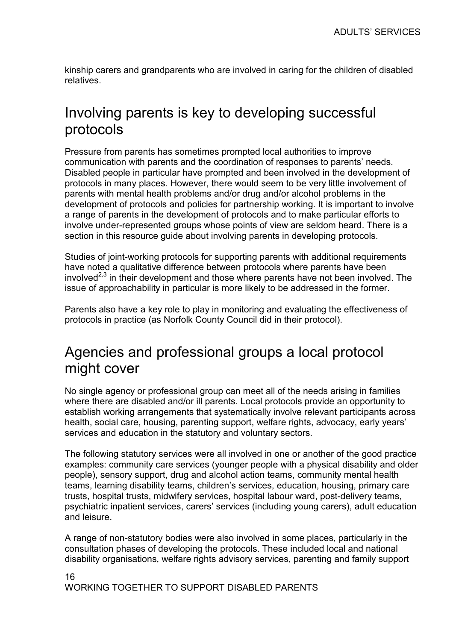kinship carers and grandparents who are involved in caring for the children of disabled relatives.

## Involving parents is key to developing successful protocols

Pressure from parents has sometimes prompted local authorities to improve communication with parents and the coordination of responses to parents' needs. Disabled people in particular have prompted and been involved in the development of protocols in many places. However, there would seem to be very little involvement of parents with mental health problems and/or drug and/or alcohol problems in the development of protocols and policies for partnership working. It is important to involve a range of parents in the development of protocols and to make particular efforts to involve under-represented groups whose points of view are seldom heard. There is a section in this resource guide about involving parents in developing protocols.

Studies of joint-working protocols for supporting parents with additional requirements have noted a qualitative difference between protocols where parents have been involved $2,3$  in their development and those where parents have not been involved. The issue of approachability in particular is more likely to be addressed in the former.

Parents also have a key role to play in monitoring and evaluating the effectiveness of protocols in practice (as Norfolk County Council did in their protocol).

## Agencies and professional groups a local protocol might cover

No single agency or professional group can meet all of the needs arising in families where there are disabled and/or ill parents. Local protocols provide an opportunity to establish working arrangements that systematically involve relevant participants across health, social care, housing, parenting support, welfare rights, advocacy, early years' services and education in the statutory and voluntary sectors.

The following statutory services were all involved in one or another of the good practice examples: community care services (younger people with a physical disability and older people), sensory support, drug and alcohol action teams, community mental health teams, learning disability teams, children's services, education, housing, primary care trusts, hospital trusts, midwifery services, hospital labour ward, post-delivery teams, psychiatric inpatient services, carers' services (including young carers), adult education and leisure.

A range of non-statutory bodies were also involved in some places, particularly in the consultation phases of developing the protocols. These included local and national disability organisations, welfare rights advisory services, parenting and family support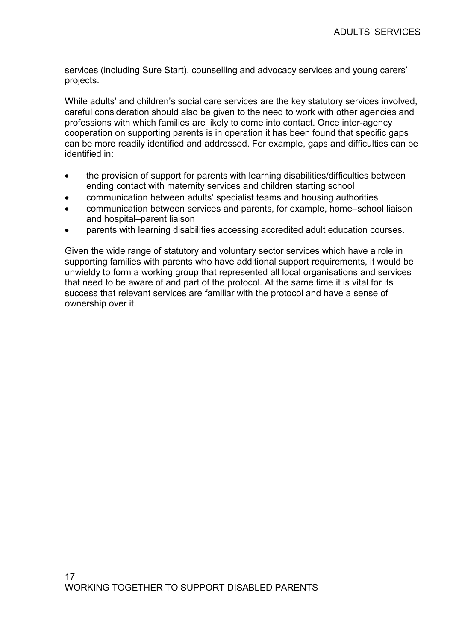services (including Sure Start), counselling and advocacy services and young carers' projects.

While adults' and children's social care services are the key statutory services involved, careful consideration should also be given to the need to work with other agencies and professions with which families are likely to come into contact. Once inter-agency cooperation on supporting parents is in operation it has been found that specific gaps can be more readily identified and addressed. For example, gaps and difficulties can be identified in:

- the provision of support for parents with learning disabilities/difficulties between ending contact with maternity services and children starting school
- communication between adults' specialist teams and housing authorities
- communication between services and parents, for example, home–school liaison and hospital–parent liaison
- parents with learning disabilities accessing accredited adult education courses.

Given the wide range of statutory and voluntary sector services which have a role in supporting families with parents who have additional support requirements, it would be unwieldy to form a working group that represented all local organisations and services that need to be aware of and part of the protocol. At the same time it is vital for its success that relevant services are familiar with the protocol and have a sense of ownership over it.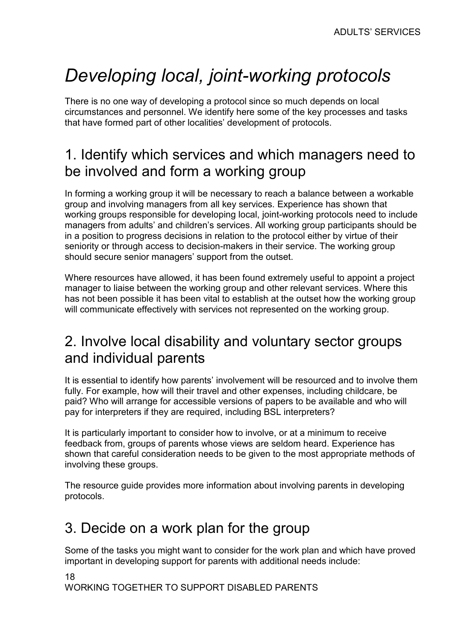# Developing local, joint-working protocols

There is no one way of developing a protocol since so much depends on local circumstances and personnel. We identify here some of the key processes and tasks that have formed part of other localities' development of protocols.

# 1. Identify which services and which managers need to be involved and form a working group

In forming a working group it will be necessary to reach a balance between a workable group and involving managers from all key services. Experience has shown that working groups responsible for developing local, joint-working protocols need to include managers from adults' and children's services. All working group participants should be in a position to progress decisions in relation to the protocol either by virtue of their seniority or through access to decision-makers in their service. The working group should secure senior managers' support from the outset.

Where resources have allowed, it has been found extremely useful to appoint a project manager to liaise between the working group and other relevant services. Where this has not been possible it has been vital to establish at the outset how the working group will communicate effectively with services not represented on the working group.

# 2. Involve local disability and voluntary sector groups and individual parents

It is essential to identify how parents' involvement will be resourced and to involve them fully. For example, how will their travel and other expenses, including childcare, be paid? Who will arrange for accessible versions of papers to be available and who will pay for interpreters if they are required, including BSL interpreters?

It is particularly important to consider how to involve, or at a minimum to receive feedback from, groups of parents whose views are seldom heard. Experience has shown that careful consideration needs to be given to the most appropriate methods of involving these groups.

The resource guide provides more information about involving parents in developing protocols.

# 3. Decide on a work plan for the group

Some of the tasks you might want to consider for the work plan and which have proved important in developing support for parents with additional needs include: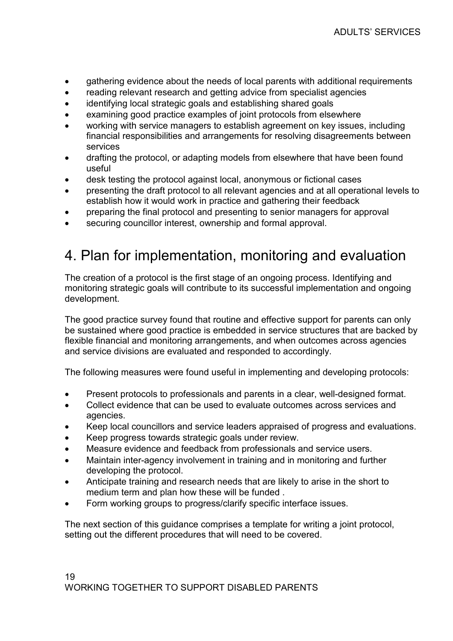- gathering evidence about the needs of local parents with additional requirements
- reading relevant research and getting advice from specialist agencies
- identifying local strategic goals and establishing shared goals
- examining good practice examples of joint protocols from elsewhere
- working with service managers to establish agreement on key issues, including financial responsibilities and arrangements for resolving disagreements between services
- drafting the protocol, or adapting models from elsewhere that have been found useful
- desk testing the protocol against local, anonymous or fictional cases
- presenting the draft protocol to all relevant agencies and at all operational levels to establish how it would work in practice and gathering their feedback
- preparing the final protocol and presenting to senior managers for approval
- securing councillor interest, ownership and formal approval.

# 4. Plan for implementation, monitoring and evaluation

The creation of a protocol is the first stage of an ongoing process. Identifying and monitoring strategic goals will contribute to its successful implementation and ongoing development.

The good practice survey found that routine and effective support for parents can only be sustained where good practice is embedded in service structures that are backed by flexible financial and monitoring arrangements, and when outcomes across agencies and service divisions are evaluated and responded to accordingly.

The following measures were found useful in implementing and developing protocols:

- Present protocols to professionals and parents in a clear, well-designed format.
- Collect evidence that can be used to evaluate outcomes across services and agencies.
- Keep local councillors and service leaders appraised of progress and evaluations.
- Keep progress towards strategic goals under review.
- Measure evidence and feedback from professionals and service users.
- Maintain inter-agency involvement in training and in monitoring and further developing the protocol.
- Anticipate training and research needs that are likely to arise in the short to medium term and plan how these will be funded .
- Form working groups to progress/clarify specific interface issues.

The next section of this guidance comprises a template for writing a joint protocol, setting out the different procedures that will need to be covered.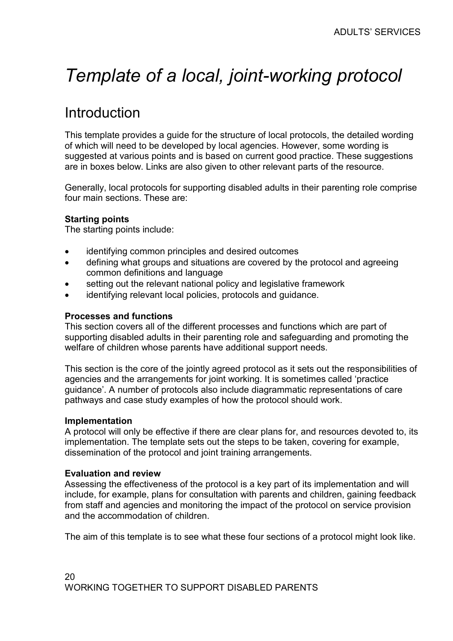# Template of a local, joint-working protocol

# Introduction

This template provides a guide for the structure of local protocols, the detailed wording of which will need to be developed by local agencies. However, some wording is suggested at various points and is based on current good practice. These suggestions are in boxes below. Links are also given to other relevant parts of the resource.

Generally, local protocols for supporting disabled adults in their parenting role comprise four main sections. These are:

#### Starting points

The starting points include:

- identifying common principles and desired outcomes
- defining what groups and situations are covered by the protocol and agreeing common definitions and language
- setting out the relevant national policy and legislative framework
- identifying relevant local policies, protocols and guidance.

#### Processes and functions

This section covers all of the different processes and functions which are part of supporting disabled adults in their parenting role and safeguarding and promoting the welfare of children whose parents have additional support needs.

This section is the core of the jointly agreed protocol as it sets out the responsibilities of agencies and the arrangements for joint working. It is sometimes called 'practice guidance'. A number of protocols also include diagrammatic representations of care pathways and case study examples of how the protocol should work.

#### Implementation

A protocol will only be effective if there are clear plans for, and resources devoted to, its implementation. The template sets out the steps to be taken, covering for example, dissemination of the protocol and joint training arrangements.

#### Evaluation and review

Assessing the effectiveness of the protocol is a key part of its implementation and will include, for example, plans for consultation with parents and children, gaining feedback from staff and agencies and monitoring the impact of the protocol on service provision and the accommodation of children.

The aim of this template is to see what these four sections of a protocol might look like.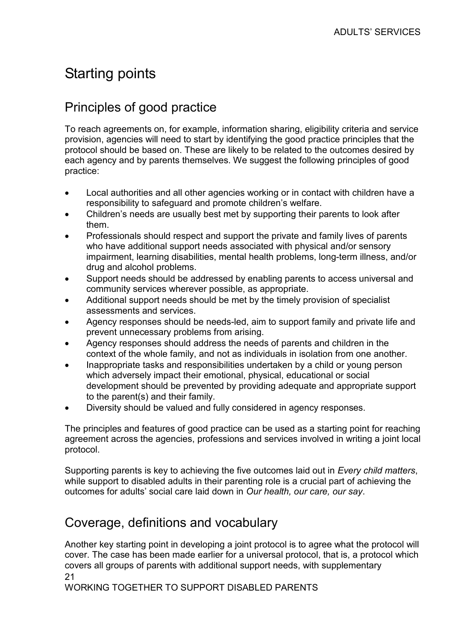# Starting points

## Principles of good practice

To reach agreements on, for example, information sharing, eligibility criteria and service provision, agencies will need to start by identifying the good practice principles that the protocol should be based on. These are likely to be related to the outcomes desired by each agency and by parents themselves. We suggest the following principles of good practice:

- Local authorities and all other agencies working or in contact with children have a responsibility to safeguard and promote children's welfare.
- Children's needs are usually best met by supporting their parents to look after them.
- Professionals should respect and support the private and family lives of parents who have additional support needs associated with physical and/or sensory impairment, learning disabilities, mental health problems, long-term illness, and/or drug and alcohol problems.
- Support needs should be addressed by enabling parents to access universal and community services wherever possible, as appropriate.
- Additional support needs should be met by the timely provision of specialist assessments and services.
- Agency responses should be needs-led, aim to support family and private life and prevent unnecessary problems from arising.
- Agency responses should address the needs of parents and children in the context of the whole family, and not as individuals in isolation from one another.
- Inappropriate tasks and responsibilities undertaken by a child or young person which adversely impact their emotional, physical, educational or social development should be prevented by providing adequate and appropriate support to the parent(s) and their family.
- Diversity should be valued and fully considered in agency responses.

The principles and features of good practice can be used as a starting point for reaching agreement across the agencies, professions and services involved in writing a joint local protocol.

Supporting parents is key to achieving the five outcomes laid out in Every child matters, while support to disabled adults in their parenting role is a crucial part of achieving the outcomes for adults' social care laid down in Our health, our care, our say.

#### Coverage, definitions and vocabulary

21 Another key starting point in developing a joint protocol is to agree what the protocol will cover. The case has been made earlier for a universal protocol, that is, a protocol which covers all groups of parents with additional support needs, with supplementary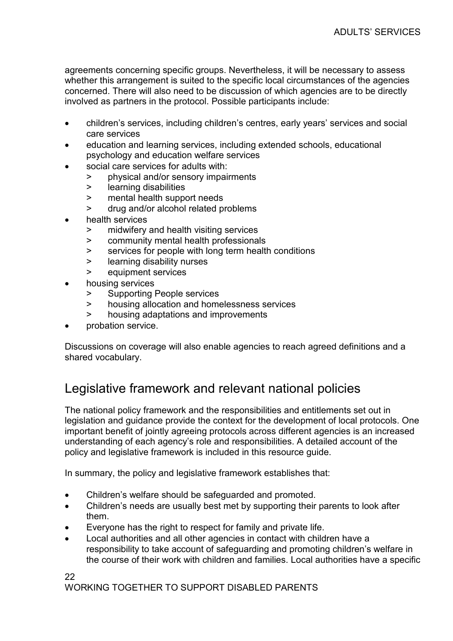agreements concerning specific groups. Nevertheless, it will be necessary to assess whether this arrangement is suited to the specific local circumstances of the agencies concerned. There will also need to be discussion of which agencies are to be directly involved as partners in the protocol. Possible participants include:

- children's services, including children's centres, early years' services and social care services
- education and learning services, including extended schools, educational psychology and education welfare services
- social care services for adults with:
	- > physical and/or sensory impairments
	- > learning disabilities
	- > mental health support needs
	- > drug and/or alcohol related problems
- health services
	- > midwifery and health visiting services
	- > community mental health professionals
	- > services for people with long term health conditions
	- > learning disability nurses
	- > equipment services
- housing services
	- > Supporting People services
	- > housing allocation and homelessness services
	- > housing adaptations and improvements
- probation service.

Discussions on coverage will also enable agencies to reach agreed definitions and a shared vocabulary.

### Legislative framework and relevant national policies

The national policy framework and the responsibilities and entitlements set out in legislation and guidance provide the context for the development of local protocols. One important benefit of jointly agreeing protocols across different agencies is an increased understanding of each agency's role and responsibilities. A detailed account of the policy and legislative framework is included in this resource guide.

In summary, the policy and legislative framework establishes that:

- Children's welfare should be safeguarded and promoted.
- Children's needs are usually best met by supporting their parents to look after them.
- Everyone has the right to respect for family and private life.
- Local authorities and all other agencies in contact with children have a responsibility to take account of safeguarding and promoting children's welfare in the course of their work with children and families. Local authorities have a specific

22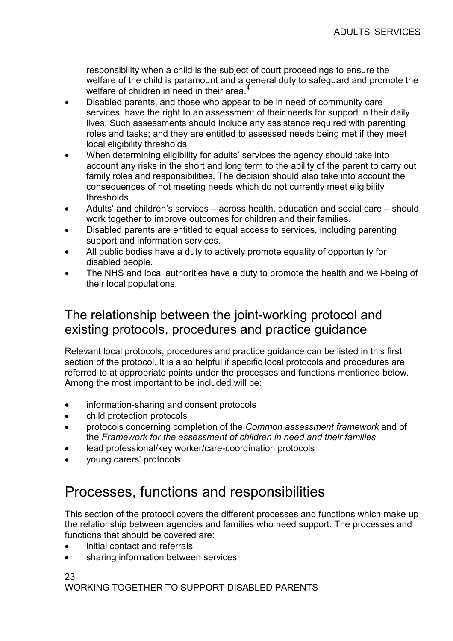responsibility when a child is the subject of court proceedings to ensure the welfare of the child is paramount and a general duty to safeguard and promote the welfare of children in need in their area.

- Disabled parents, and those who appear to be in need of community care services, have the right to an assessment of their needs for support in their daily lives. Such assessments should include any assistance required with parenting roles and tasks; and they are entitled to assessed needs being met if they meet local eligibility thresholds.
- When determining eligibility for adults' services the agency should take into account any risks in the short and long term to the ability of the parent to carry out family roles and responsibilities. The decision should also take into account the consequences of not meeting needs which do not currently meet eligibility thresholds.
- Adults' and children's services across health, education and social care should work together to improve outcomes for children and their families.
- Disabled parents are entitled to equal access to services, including parenting support and information services.
- All public bodies have a duty to actively promote equality of opportunity for disabled people.
- The NHS and local authorities have a duty to promote the health and well-being of their local populations.

#### The relationship between the joint-working protocol and existing protocols, procedures and practice guidance

Relevant local protocols, procedures and practice guidance can be listed in this first section of the protocol. It is also helpful if specific local protocols and procedures are referred to at appropriate points under the processes and functions mentioned below. Among the most important to be included will be:

- information-sharing and consent protocols
- child protection protocols
- protocols concerning completion of the Common assessment framework and of the Framework for the assessment of children in need and their families
- lead professional/key worker/care-coordination protocols
- young carers' protocols.

# Processes, functions and responsibilities

This section of the protocol covers the different processes and functions which make up the relationship between agencies and families who need support. The processes and functions that should be covered are:

- initial contact and referrals
- sharing information between services

23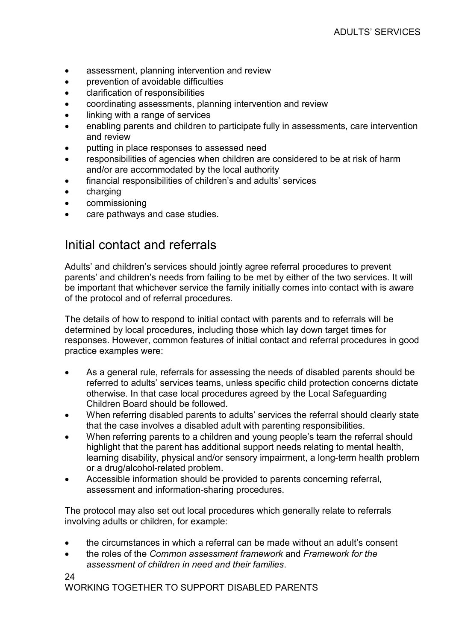- assessment, planning intervention and review
- prevention of avoidable difficulties
- clarification of responsibilities
- coordinating assessments, planning intervention and review
- linking with a range of services
- enabling parents and children to participate fully in assessments, care intervention and review
- putting in place responses to assessed need
- responsibilities of agencies when children are considered to be at risk of harm and/or are accommodated by the local authority
- financial responsibilities of children's and adults' services
- charging
- commissioning
- care pathways and case studies.

#### Initial contact and referrals

Adults' and children's services should jointly agree referral procedures to prevent parents' and children's needs from failing to be met by either of the two services. It will be important that whichever service the family initially comes into contact with is aware of the protocol and of referral procedures.

The details of how to respond to initial contact with parents and to referrals will be determined by local procedures, including those which lay down target times for responses. However, common features of initial contact and referral procedures in good practice examples were:

- As a general rule, referrals for assessing the needs of disabled parents should be referred to adults' services teams, unless specific child protection concerns dictate otherwise. In that case local procedures agreed by the Local Safeguarding Children Board should be followed.
- When referring disabled parents to adults' services the referral should clearly state that the case involves a disabled adult with parenting responsibilities.
- When referring parents to a children and young people's team the referral should highlight that the parent has additional support needs relating to mental health, learning disability, physical and/or sensory impairment, a long-term health problem or a drug/alcohol-related problem.
- Accessible information should be provided to parents concerning referral, assessment and information-sharing procedures.

The protocol may also set out local procedures which generally relate to referrals involving adults or children, for example:

- the circumstances in which a referral can be made without an adult's consent
- the roles of the Common assessment framework and Framework for the assessment of children in need and their families.

24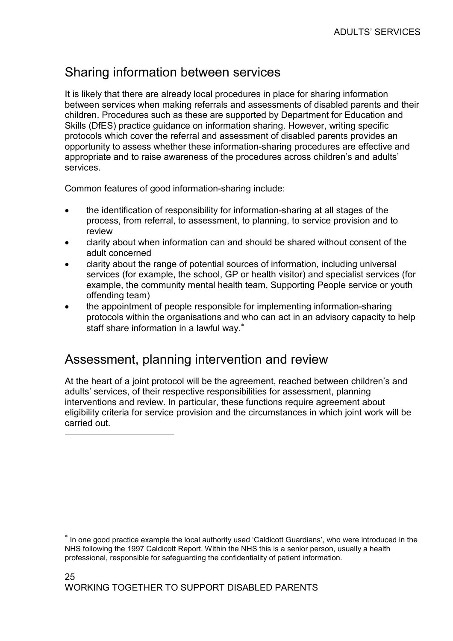### Sharing information between services

It is likely that there are already local procedures in place for sharing information between services when making referrals and assessments of disabled parents and their children. Procedures such as these are supported by Department for Education and Skills (DfES) practice guidance on information sharing. However, writing specific protocols which cover the referral and assessment of disabled parents provides an opportunity to assess whether these information-sharing procedures are effective and appropriate and to raise awareness of the procedures across children's and adults' services.

Common features of good information-sharing include:

- the identification of responsibility for information-sharing at all stages of the process, from referral, to assessment, to planning, to service provision and to review
- clarity about when information can and should be shared without consent of the adult concerned
- clarity about the range of potential sources of information, including universal services (for example, the school, GP or health visitor) and specialist services (for example, the community mental health team, Supporting People service or youth offending team)
- the appointment of people responsible for implementing information-sharing protocols within the organisations and who can act in an advisory capacity to help staff share information in a lawful way.<sup>\*</sup>

#### Assessment, planning intervention and review

 $\overline{a}$ 

At the heart of a joint protocol will be the agreement, reached between children's and adults' services, of their respective responsibilities for assessment, planning interventions and review. In particular, these functions require agreement about eligibility criteria for service provision and the circumstances in which joint work will be carried out.

<sup>∗</sup> In one good practice example the local authority used 'Caldicott Guardians', who were introduced in the NHS following the 1997 Caldicott Report. Within the NHS this is a senior person, usually a health professional, responsible for safeguarding the confidentiality of patient information.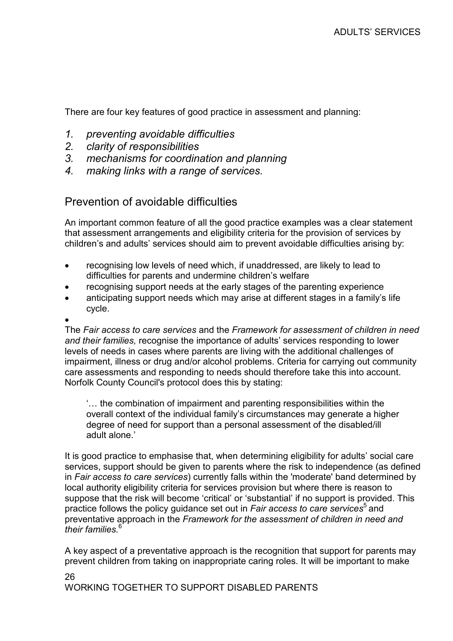There are four key features of good practice in assessment and planning:

- 1. preventing avoidable difficulties
- 2. clarity of responsibilities
- 3. mechanisms for coordination and planning
- 4. making links with a range of services.

#### Prevention of avoidable difficulties

An important common feature of all the good practice examples was a clear statement that assessment arrangements and eligibility criteria for the provision of services by children's and adults' services should aim to prevent avoidable difficulties arising by:

- recognising low levels of need which, if unaddressed, are likely to lead to difficulties for parents and undermine children's welfare
- recognising support needs at the early stages of the parenting experience
- anticipating support needs which may arise at different stages in a family's life cycle.

#### •

The Fair access to care services and the Framework for assessment of children in need and their families, recognise the importance of adults' services responding to lower levels of needs in cases where parents are living with the additional challenges of impairment, illness or drug and/or alcohol problems. Criteria for carrying out community care assessments and responding to needs should therefore take this into account. Norfolk County Council's protocol does this by stating:

'… the combination of impairment and parenting responsibilities within the overall context of the individual family's circumstances may generate a higher degree of need for support than a personal assessment of the disabled/ill adult alone.'

It is good practice to emphasise that, when determining eligibility for adults' social care services, support should be given to parents where the risk to independence (as defined in Fair access to care services) currently falls within the 'moderate' band determined by local authority eligibility criteria for services provision but where there is reason to suppose that the risk will become 'critical' or 'substantial' if no support is provided. This practice follows the policy guidance set out in Fair access to care services<sup>5</sup> and preventative approach in the Framework for the assessment of children in need and their families.<sup>6</sup>

A key aspect of a preventative approach is the recognition that support for parents may prevent children from taking on inappropriate caring roles. It will be important to make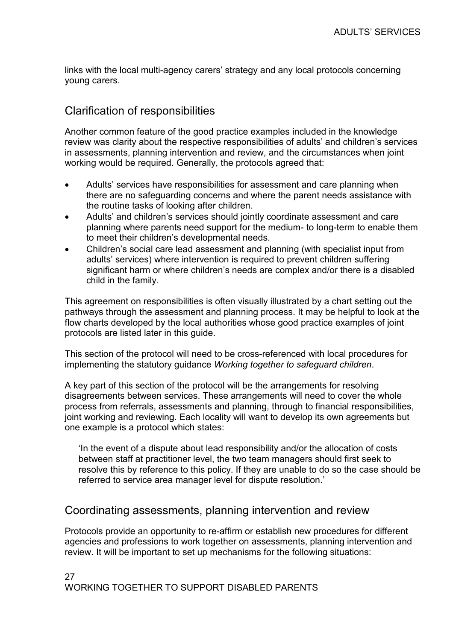links with the local multi-agency carers' strategy and any local protocols concerning young carers.

#### Clarification of responsibilities

Another common feature of the good practice examples included in the knowledge review was clarity about the respective responsibilities of adults' and children's services in assessments, planning intervention and review, and the circumstances when joint working would be required. Generally, the protocols agreed that:

- Adults' services have responsibilities for assessment and care planning when there are no safeguarding concerns and where the parent needs assistance with the routine tasks of looking after children.
- Adults' and children's services should jointly coordinate assessment and care planning where parents need support for the medium- to long-term to enable them to meet their children's developmental needs.
- Children's social care lead assessment and planning (with specialist input from adults' services) where intervention is required to prevent children suffering significant harm or where children's needs are complex and/or there is a disabled child in the family.

This agreement on responsibilities is often visually illustrated by a chart setting out the pathways through the assessment and planning process. It may be helpful to look at the flow charts developed by the local authorities whose good practice examples of joint protocols are listed later in this guide.

This section of the protocol will need to be cross-referenced with local procedures for implementing the statutory guidance Working together to safeguard children.

A key part of this section of the protocol will be the arrangements for resolving disagreements between services. These arrangements will need to cover the whole process from referrals, assessments and planning, through to financial responsibilities, joint working and reviewing. Each locality will want to develop its own agreements but one example is a protocol which states:

'In the event of a dispute about lead responsibility and/or the allocation of costs between staff at practitioner level, the two team managers should first seek to resolve this by reference to this policy. If they are unable to do so the case should be referred to service area manager level for dispute resolution.'

#### Coordinating assessments, planning intervention and review

Protocols provide an opportunity to re-affirm or establish new procedures for different agencies and professions to work together on assessments, planning intervention and review. It will be important to set up mechanisms for the following situations: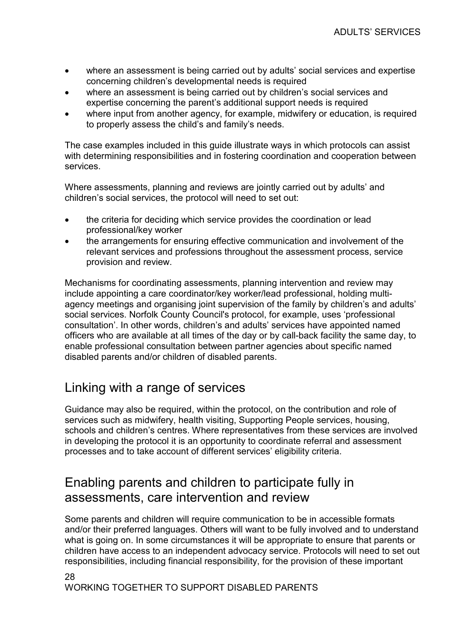- where an assessment is being carried out by adults' social services and expertise concerning children's developmental needs is required
- where an assessment is being carried out by children's social services and expertise concerning the parent's additional support needs is required
- where input from another agency, for example, midwifery or education, is required to properly assess the child's and family's needs.

The case examples included in this guide illustrate ways in which protocols can assist with determining responsibilities and in fostering coordination and cooperation between services.

Where assessments, planning and reviews are jointly carried out by adults' and children's social services, the protocol will need to set out:

- the criteria for deciding which service provides the coordination or lead professional/key worker
- the arrangements for ensuring effective communication and involvement of the relevant services and professions throughout the assessment process, service provision and review.

Mechanisms for coordinating assessments, planning intervention and review may include appointing a care coordinator/key worker/lead professional, holding multiagency meetings and organising joint supervision of the family by children's and adults' social services. Norfolk County Council's protocol, for example, uses 'professional consultation'. In other words, children's and adults' services have appointed named officers who are available at all times of the day or by call-back facility the same day, to enable professional consultation between partner agencies about specific named disabled parents and/or children of disabled parents.

### Linking with a range of services

Guidance may also be required, within the protocol, on the contribution and role of services such as midwifery, health visiting, Supporting People services, housing, schools and children's centres. Where representatives from these services are involved in developing the protocol it is an opportunity to coordinate referral and assessment processes and to take account of different services' eligibility criteria.

#### Enabling parents and children to participate fully in assessments, care intervention and review

Some parents and children will require communication to be in accessible formats and/or their preferred languages. Others will want to be fully involved and to understand what is going on. In some circumstances it will be appropriate to ensure that parents or children have access to an independent advocacy service. Protocols will need to set out responsibilities, including financial responsibility, for the provision of these important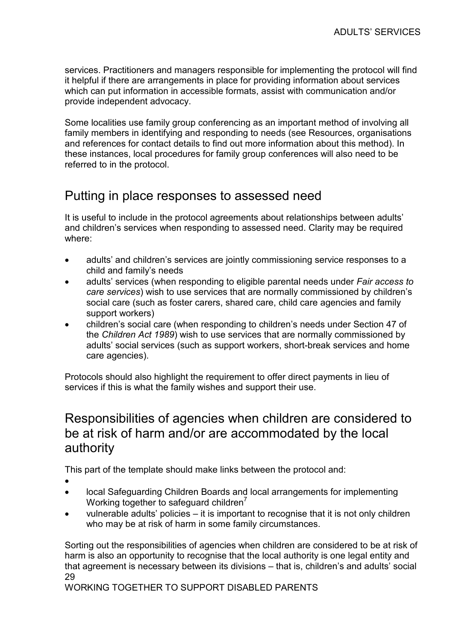services. Practitioners and managers responsible for implementing the protocol will find it helpful if there are arrangements in place for providing information about services which can put information in accessible formats, assist with communication and/or provide independent advocacy.

Some localities use family group conferencing as an important method of involving all family members in identifying and responding to needs (see Resources, organisations and references for contact details to find out more information about this method). In these instances, local procedures for family group conferences will also need to be referred to in the protocol.

#### Putting in place responses to assessed need

It is useful to include in the protocol agreements about relationships between adults' and children's services when responding to assessed need. Clarity may be required where:

- adults' and children's services are jointly commissioning service responses to a child and family's needs
- adults' services (when responding to eligible parental needs under Fair access to care services) wish to use services that are normally commissioned by children's social care (such as foster carers, shared care, child care agencies and family support workers)
- children's social care (when responding to children's needs under Section 47 of the Children Act 1989) wish to use services that are normally commissioned by adults' social services (such as support workers, short-break services and home care agencies).

Protocols should also highlight the requirement to offer direct payments in lieu of services if this is what the family wishes and support their use.

#### Responsibilities of agencies when children are considered to be at risk of harm and/or are accommodated by the local authority

This part of the template should make links between the protocol and:

- •
- local Safeguarding Children Boards and local arrangements for implementing Working together to safeguard children<sup>7</sup>
- vulnerable adults' policies it is important to recognise that it is not only children who may be at risk of harm in some family circumstances.

29 Sorting out the responsibilities of agencies when children are considered to be at risk of harm is also an opportunity to recognise that the local authority is one legal entity and that agreement is necessary between its divisions – that is, children's and adults' social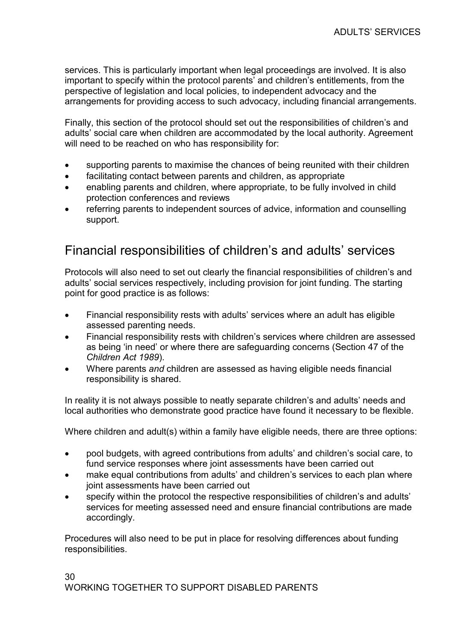services. This is particularly important when legal proceedings are involved. It is also important to specify within the protocol parents' and children's entitlements, from the perspective of legislation and local policies, to independent advocacy and the arrangements for providing access to such advocacy, including financial arrangements.

Finally, this section of the protocol should set out the responsibilities of children's and adults' social care when children are accommodated by the local authority. Agreement will need to be reached on who has responsibility for:

- supporting parents to maximise the chances of being reunited with their children
- facilitating contact between parents and children, as appropriate
- enabling parents and children, where appropriate, to be fully involved in child protection conferences and reviews
- referring parents to independent sources of advice, information and counselling support.

#### Financial responsibilities of children's and adults' services

Protocols will also need to set out clearly the financial responsibilities of children's and adults' social services respectively, including provision for joint funding. The starting point for good practice is as follows:

- Financial responsibility rests with adults' services where an adult has eligible assessed parenting needs.
- Financial responsibility rests with children's services where children are assessed as being 'in need' or where there are safeguarding concerns (Section 47 of the Children Act 1989).
- Where parents and children are assessed as having eligible needs financial responsibility is shared.

In reality it is not always possible to neatly separate children's and adults' needs and local authorities who demonstrate good practice have found it necessary to be flexible.

Where children and adult(s) within a family have eligible needs, there are three options:

- pool budgets, with agreed contributions from adults' and children's social care, to fund service responses where joint assessments have been carried out
- make equal contributions from adults' and children's services to each plan where joint assessments have been carried out
- specify within the protocol the respective responsibilities of children's and adults' services for meeting assessed need and ensure financial contributions are made accordingly.

Procedures will also need to be put in place for resolving differences about funding responsibilities.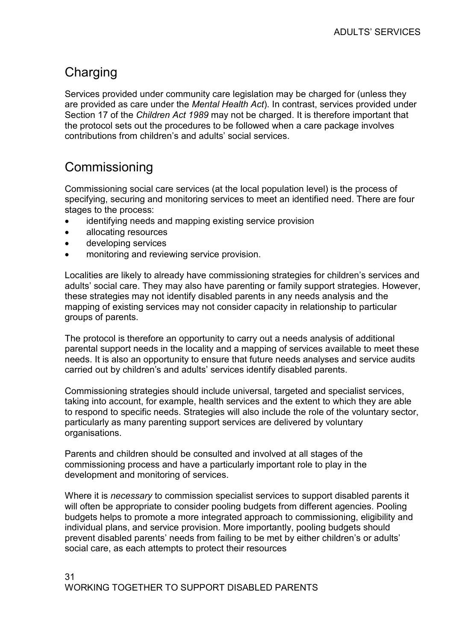## **Charging**

Services provided under community care legislation may be charged for (unless they are provided as care under the Mental Health Act). In contrast, services provided under Section 17 of the Children Act 1989 may not be charged. It is therefore important that the protocol sets out the procedures to be followed when a care package involves contributions from children's and adults' social services.

### **Commissioning**

Commissioning social care services (at the local population level) is the process of specifying, securing and monitoring services to meet an identified need. There are four stages to the process:

- identifying needs and mapping existing service provision
- allocating resources
- developing services
- monitoring and reviewing service provision.

Localities are likely to already have commissioning strategies for children's services and adults' social care. They may also have parenting or family support strategies. However, these strategies may not identify disabled parents in any needs analysis and the mapping of existing services may not consider capacity in relationship to particular groups of parents.

The protocol is therefore an opportunity to carry out a needs analysis of additional parental support needs in the locality and a mapping of services available to meet these needs. It is also an opportunity to ensure that future needs analyses and service audits carried out by children's and adults' services identify disabled parents.

Commissioning strategies should include universal, targeted and specialist services, taking into account, for example, health services and the extent to which they are able to respond to specific needs. Strategies will also include the role of the voluntary sector, particularly as many parenting support services are delivered by voluntary organisations.

Parents and children should be consulted and involved at all stages of the commissioning process and have a particularly important role to play in the development and monitoring of services.

Where it is *necessary* to commission specialist services to support disabled parents it will often be appropriate to consider pooling budgets from different agencies. Pooling budgets helps to promote a more integrated approach to commissioning, eligibility and individual plans, and service provision. More importantly, pooling budgets should prevent disabled parents' needs from failing to be met by either children's or adults' social care, as each attempts to protect their resources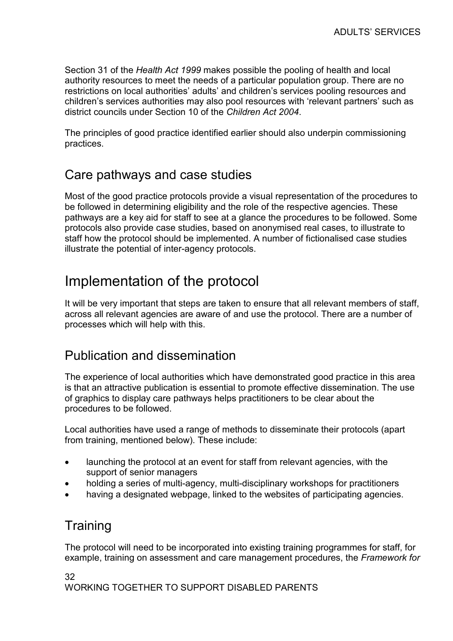Section 31 of the Health Act 1999 makes possible the pooling of health and local authority resources to meet the needs of a particular population group. There are no restrictions on local authorities' adults' and children's services pooling resources and children's services authorities may also pool resources with 'relevant partners' such as district councils under Section 10 of the Children Act 2004.

The principles of good practice identified earlier should also underpin commissioning practices.

#### Care pathways and case studies

Most of the good practice protocols provide a visual representation of the procedures to be followed in determining eligibility and the role of the respective agencies. These pathways are a key aid for staff to see at a glance the procedures to be followed. Some protocols also provide case studies, based on anonymised real cases, to illustrate to staff how the protocol should be implemented. A number of fictionalised case studies illustrate the potential of inter-agency protocols.

# Implementation of the protocol

It will be very important that steps are taken to ensure that all relevant members of staff, across all relevant agencies are aware of and use the protocol. There are a number of processes which will help with this.

#### Publication and dissemination

The experience of local authorities which have demonstrated good practice in this area is that an attractive publication is essential to promote effective dissemination. The use of graphics to display care pathways helps practitioners to be clear about the procedures to be followed.

Local authorities have used a range of methods to disseminate their protocols (apart from training, mentioned below). These include:

- launching the protocol at an event for staff from relevant agencies, with the support of senior managers
- holding a series of multi-agency, multi-disciplinary workshops for practitioners
- having a designated webpage, linked to the websites of participating agencies.

#### **Training**

The protocol will need to be incorporated into existing training programmes for staff, for example, training on assessment and care management procedures, the Framework for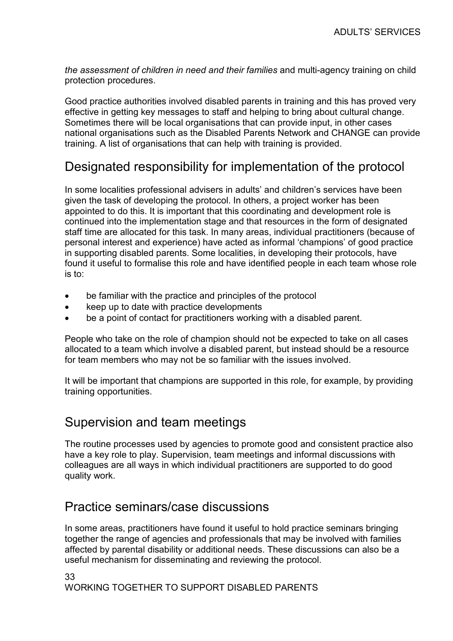the assessment of children in need and their families and multi-agency training on child protection procedures.

Good practice authorities involved disabled parents in training and this has proved very effective in getting key messages to staff and helping to bring about cultural change. Sometimes there will be local organisations that can provide input, in other cases national organisations such as the Disabled Parents Network and CHANGE can provide training. A list of organisations that can help with training is provided.

### Designated responsibility for implementation of the protocol

In some localities professional advisers in adults' and children's services have been given the task of developing the protocol. In others, a project worker has been appointed to do this. It is important that this coordinating and development role is continued into the implementation stage and that resources in the form of designated staff time are allocated for this task. In many areas, individual practitioners (because of personal interest and experience) have acted as informal 'champions' of good practice in supporting disabled parents. Some localities, in developing their protocols, have found it useful to formalise this role and have identified people in each team whose role is to:

- be familiar with the practice and principles of the protocol
- keep up to date with practice developments
- be a point of contact for practitioners working with a disabled parent.

People who take on the role of champion should not be expected to take on all cases allocated to a team which involve a disabled parent, but instead should be a resource for team members who may not be so familiar with the issues involved.

It will be important that champions are supported in this role, for example, by providing training opportunities.

#### Supervision and team meetings

The routine processes used by agencies to promote good and consistent practice also have a key role to play. Supervision, team meetings and informal discussions with colleagues are all ways in which individual practitioners are supported to do good quality work.

#### Practice seminars/case discussions

In some areas, practitioners have found it useful to hold practice seminars bringing together the range of agencies and professionals that may be involved with families affected by parental disability or additional needs. These discussions can also be a useful mechanism for disseminating and reviewing the protocol.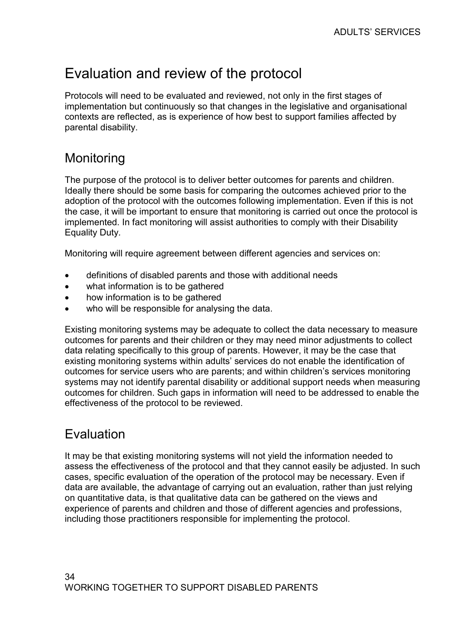# Evaluation and review of the protocol

Protocols will need to be evaluated and reviewed, not only in the first stages of implementation but continuously so that changes in the legislative and organisational contexts are reflected, as is experience of how best to support families affected by parental disability.

### **Monitoring**

The purpose of the protocol is to deliver better outcomes for parents and children. Ideally there should be some basis for comparing the outcomes achieved prior to the adoption of the protocol with the outcomes following implementation. Even if this is not the case, it will be important to ensure that monitoring is carried out once the protocol is implemented. In fact monitoring will assist authorities to comply with their Disability Equality Duty.

Monitoring will require agreement between different agencies and services on:

- definitions of disabled parents and those with additional needs
- what information is to be gathered
- how information is to be gathered
- who will be responsible for analysing the data.

Existing monitoring systems may be adequate to collect the data necessary to measure outcomes for parents and their children or they may need minor adjustments to collect data relating specifically to this group of parents. However, it may be the case that existing monitoring systems within adults' services do not enable the identification of outcomes for service users who are parents; and within children's services monitoring systems may not identify parental disability or additional support needs when measuring outcomes for children. Such gaps in information will need to be addressed to enable the effectiveness of the protocol to be reviewed.

## **Evaluation**

It may be that existing monitoring systems will not yield the information needed to assess the effectiveness of the protocol and that they cannot easily be adjusted. In such cases, specific evaluation of the operation of the protocol may be necessary. Even if data are available, the advantage of carrying out an evaluation, rather than just relying on quantitative data, is that qualitative data can be gathered on the views and experience of parents and children and those of different agencies and professions, including those practitioners responsible for implementing the protocol.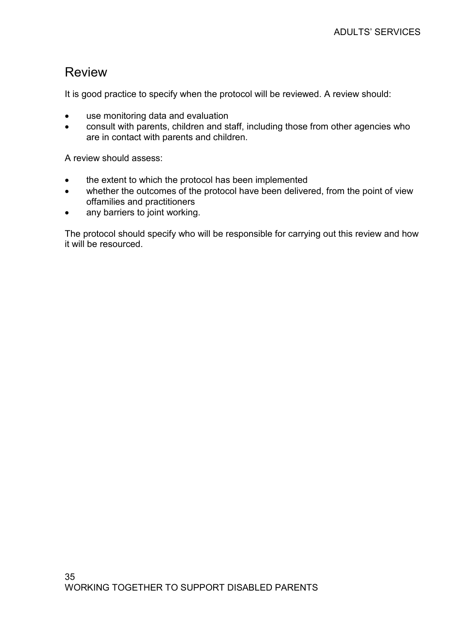#### Review

It is good practice to specify when the protocol will be reviewed. A review should:

- use monitoring data and evaluation
- consult with parents, children and staff, including those from other agencies who are in contact with parents and children.

A review should assess:

- the extent to which the protocol has been implemented
- whether the outcomes of the protocol have been delivered, from the point of view offamilies and practitioners
- any barriers to joint working.

The protocol should specify who will be responsible for carrying out this review and how it will be resourced.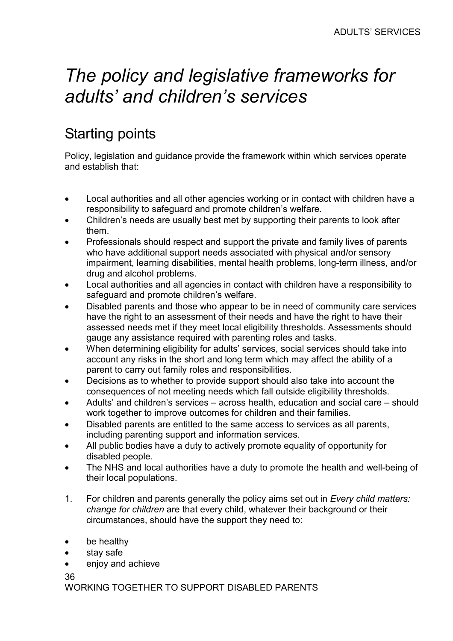# The policy and legislative frameworks for adults' and children's services

# Starting points

Policy, legislation and guidance provide the framework within which services operate and establish that:

- Local authorities and all other agencies working or in contact with children have a responsibility to safeguard and promote children's welfare.
- Children's needs are usually best met by supporting their parents to look after them.
- Professionals should respect and support the private and family lives of parents who have additional support needs associated with physical and/or sensory impairment, learning disabilities, mental health problems, long-term illness, and/or drug and alcohol problems.
- Local authorities and all agencies in contact with children have a responsibility to safeguard and promote children's welfare.
- Disabled parents and those who appear to be in need of community care services have the right to an assessment of their needs and have the right to have their assessed needs met if they meet local eligibility thresholds. Assessments should gauge any assistance required with parenting roles and tasks.
- When determining eligibility for adults' services, social services should take into account any risks in the short and long term which may affect the ability of a parent to carry out family roles and responsibilities.
- Decisions as to whether to provide support should also take into account the consequences of not meeting needs which fall outside eligibility thresholds.
- Adults' and children's services across health, education and social care should work together to improve outcomes for children and their families.
- Disabled parents are entitled to the same access to services as all parents, including parenting support and information services.
- All public bodies have a duty to actively promote equality of opportunity for disabled people.
- The NHS and local authorities have a duty to promote the health and well-being of their local populations.
- 1. For children and parents generally the policy aims set out in Every child matters: change for children are that every child, whatever their background or their circumstances, should have the support they need to:
- be healthy
- stay safe
- enjoy and achieve

36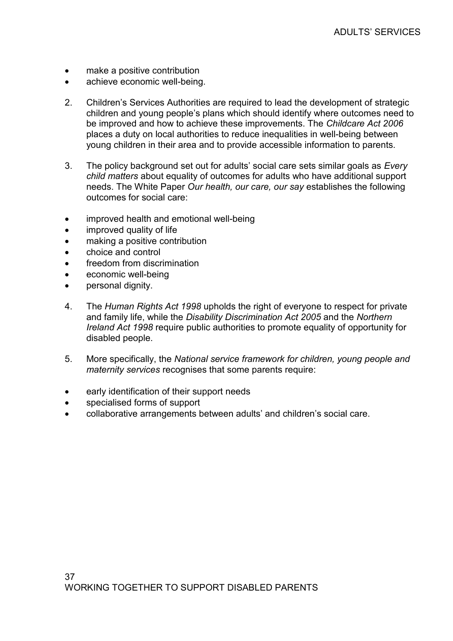- make a positive contribution
- achieve economic well-being.
- 2. Children's Services Authorities are required to lead the development of strategic children and young people's plans which should identify where outcomes need to be improved and how to achieve these improvements. The Childcare Act 2006 places a duty on local authorities to reduce inequalities in well-being between young children in their area and to provide accessible information to parents.
- 3. The policy background set out for adults' social care sets similar goals as *Every* child matters about equality of outcomes for adults who have additional support needs. The White Paper Our health, our care, our say establishes the following outcomes for social care:
- improved health and emotional well-being
- improved quality of life
- making a positive contribution
- choice and control
- freedom from discrimination
- economic well-being
- personal dignity.
- 4. The Human Rights Act 1998 upholds the right of everyone to respect for private and family life, while the Disability Discrimination Act 2005 and the Northern Ireland Act 1998 require public authorities to promote equality of opportunity for disabled people.
- 5. More specifically, the National service framework for children, young people and maternity services recognises that some parents require:
- early identification of their support needs
- specialised forms of support
- collaborative arrangements between adults' and children's social care.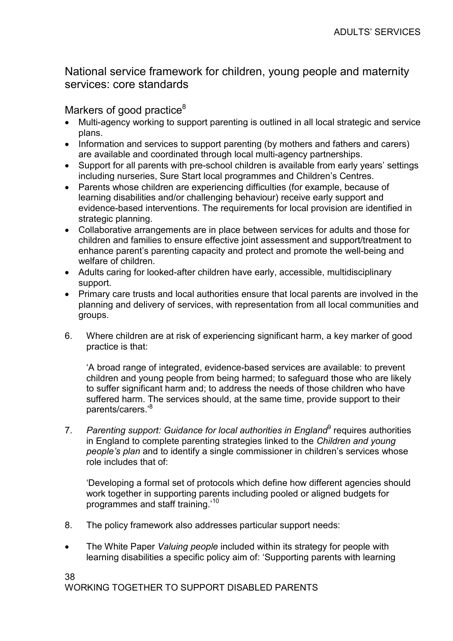### National service framework for children, young people and maternity services: core standards

### Markers of good practice<sup>8</sup>

- Multi-agency working to support parenting is outlined in all local strategic and service plans.
- Information and services to support parenting (by mothers and fathers and carers) are available and coordinated through local multi-agency partnerships.
- Support for all parents with pre-school children is available from early years' settings including nurseries, Sure Start local programmes and Children's Centres.
- Parents whose children are experiencing difficulties (for example, because of learning disabilities and/or challenging behaviour) receive early support and evidence-based interventions. The requirements for local provision are identified in strategic planning.
- Collaborative arrangements are in place between services for adults and those for children and families to ensure effective joint assessment and support/treatment to enhance parent's parenting capacity and protect and promote the well-being and welfare of children.
- Adults caring for looked-after children have early, accessible, multidisciplinary support.
- Primary care trusts and local authorities ensure that local parents are involved in the planning and delivery of services, with representation from all local communities and groups.
- 6. Where children are at risk of experiencing significant harm, a key marker of good practice is that:

'A broad range of integrated, evidence-based services are available: to prevent children and young people from being harmed; to safeguard those who are likely to suffer significant harm and; to address the needs of those children who have suffered harm. The services should, at the same time, provide support to their parents/carers.'<sup>8</sup>

7. Parenting support: Guidance for local authorities in England<sup>9</sup> requires authorities in England to complete parenting strategies linked to the Children and young people's plan and to identify a single commissioner in children's services whose role includes that of:

'Developing a formal set of protocols which define how different agencies should work together in supporting parents including pooled or aligned budgets for programmes and staff training.'<sup>10</sup>

- 8. The policy framework also addresses particular support needs:
- The White Paper Valuing people included within its strategy for people with learning disabilities a specific policy aim of: 'Supporting parents with learning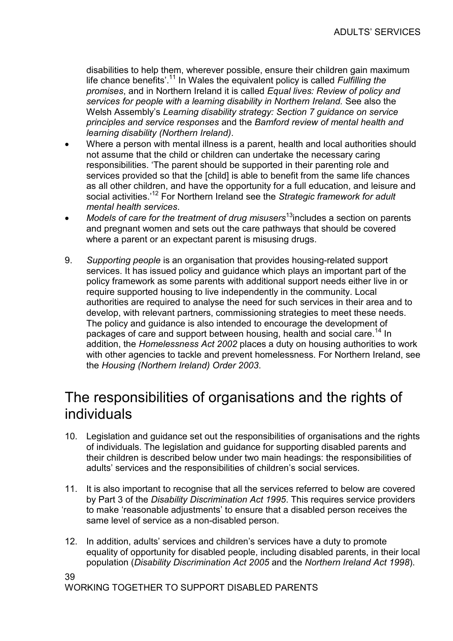disabilities to help them, wherever possible, ensure their children gain maximum life chance benefits'.<sup>11</sup> In Wales the equivalent policy is called *Fulfilling the* promises, and in Northern Ireland it is called Equal lives: Review of policy and services for people with a learning disability in Northern Ireland. See also the Welsh Assembly's Learning disability strategy: Section 7 guidance on service principles and service responses and the Bamford review of mental health and learning disability (Northern Ireland).

- Where a person with mental illness is a parent, health and local authorities should not assume that the child or children can undertake the necessary caring responsibilities. 'The parent should be supported in their parenting role and services provided so that the [child] is able to benefit from the same life chances as all other children, and have the opportunity for a full education, and leisure and social activities.<sup>12</sup> For Northern Ireland see the Strategic framework for adult mental health services.
- $M$ odels of care for the treatment of drug misusers $13$ includes a section on parents and pregnant women and sets out the care pathways that should be covered where a parent or an expectant parent is misusing drugs.
- 9. Supporting people is an organisation that provides housing-related support services. It has issued policy and guidance which plays an important part of the policy framework as some parents with additional support needs either live in or require supported housing to live independently in the community. Local authorities are required to analyse the need for such services in their area and to develop, with relevant partners, commissioning strategies to meet these needs. The policy and guidance is also intended to encourage the development of packages of care and support between housing, health and social care.<sup>14</sup> In addition, the Homelessness Act 2002 places a duty on housing authorities to work with other agencies to tackle and prevent homelessness. For Northern Ireland, see the Housing (Northern Ireland) Order 2003.

## The responsibilities of organisations and the rights of individuals

- 10. Legislation and guidance set out the responsibilities of organisations and the rights of individuals. The legislation and guidance for supporting disabled parents and their children is described below under two main headings: the responsibilities of adults' services and the responsibilities of children's social services.
- 11. It is also important to recognise that all the services referred to below are covered by Part 3 of the Disability Discrimination Act 1995. This requires service providers to make 'reasonable adjustments' to ensure that a disabled person receives the same level of service as a non-disabled person.
- 12. In addition, adults' services and children's services have a duty to promote equality of opportunity for disabled people, including disabled parents, in their local population (Disability Discrimination Act 2005 and the Northern Ireland Act 1998).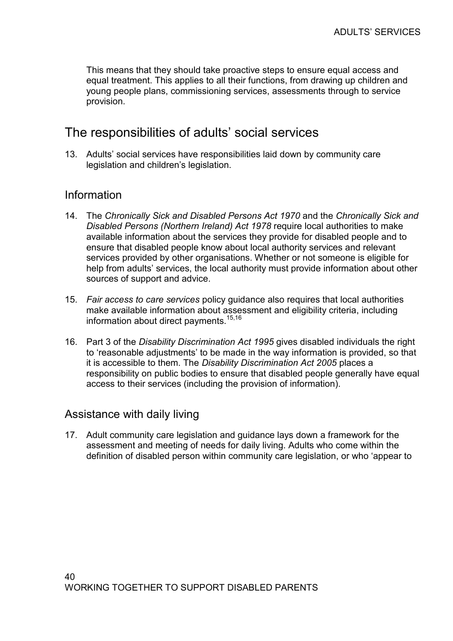This means that they should take proactive steps to ensure equal access and equal treatment. This applies to all their functions, from drawing up children and young people plans, commissioning services, assessments through to service provision.

### The responsibilities of adults' social services

13. Adults' social services have responsibilities laid down by community care legislation and children's legislation.

### Information

- 14. The Chronically Sick and Disabled Persons Act 1970 and the Chronically Sick and Disabled Persons (Northern Ireland) Act 1978 require local authorities to make available information about the services they provide for disabled people and to ensure that disabled people know about local authority services and relevant services provided by other organisations. Whether or not someone is eligible for help from adults' services, the local authority must provide information about other sources of support and advice.
- 15. Fair access to care services policy guidance also requires that local authorities make available information about assessment and eligibility criteria, including information about direct payments.15,16
- 16. Part 3 of the Disability Discrimination Act 1995 gives disabled individuals the right to 'reasonable adjustments' to be made in the way information is provided, so that it is accessible to them. The Disability Discrimination Act 2005 places a responsibility on public bodies to ensure that disabled people generally have equal access to their services (including the provision of information).

### Assistance with daily living

17. Adult community care legislation and guidance lays down a framework for the assessment and meeting of needs for daily living. Adults who come within the definition of disabled person within community care legislation, or who 'appear to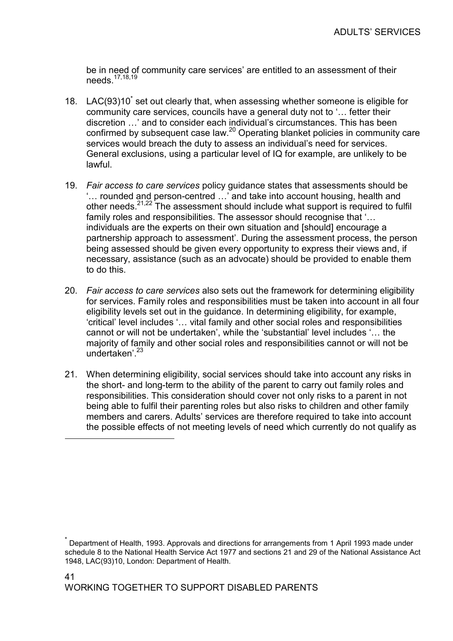be in need of community care services' are entitled to an assessment of their needs.<sup>17,18,19</sup>

- 18. LAC(93)10<sup>\*</sup> set out clearly that, when assessing whether someone is eligible for community care services, councils have a general duty not to '… fetter their discretion …' and to consider each individual's circumstances. This has been confirmed by subsequent case law.<sup>20</sup> Operating blanket policies in community care services would breach the duty to assess an individual's need for services. General exclusions, using a particular level of IQ for example, are unlikely to be lawful.
- 19. Fair access to care services policy guidance states that assessments should be '… rounded and person-centred …' and take into account housing, health and other needs. $21,22$  The assessment should include what support is required to fulfil family roles and responsibilities. The assessor should recognise that '… individuals are the experts on their own situation and [should] encourage a partnership approach to assessment'. During the assessment process, the person being assessed should be given every opportunity to express their views and, if necessary, assistance (such as an advocate) should be provided to enable them to do this.
- 20. Fair access to care services also sets out the framework for determining eligibility for services. Family roles and responsibilities must be taken into account in all four eligibility levels set out in the guidance. In determining eligibility, for example, 'critical' level includes '… vital family and other social roles and responsibilities cannot or will not be undertaken', while the 'substantial' level includes '… the majority of family and other social roles and responsibilities cannot or will not be undertaken<sup>'23</sup>
- 21. When determining eligibility, social services should take into account any risks in the short- and long-term to the ability of the parent to carry out family roles and responsibilities. This consideration should cover not only risks to a parent in not being able to fulfil their parenting roles but also risks to children and other family members and carers. Adults' services are therefore required to take into account the possible effects of not meeting levels of need which currently do not qualify as

 $\overline{a}$ 

<sup>\*</sup> Department of Health, 1993. Approvals and directions for arrangements from 1 April 1993 made under schedule 8 to the National Health Service Act 1977 and sections 21 and 29 of the National Assistance Act 1948, LAC(93)10, London: Department of Health.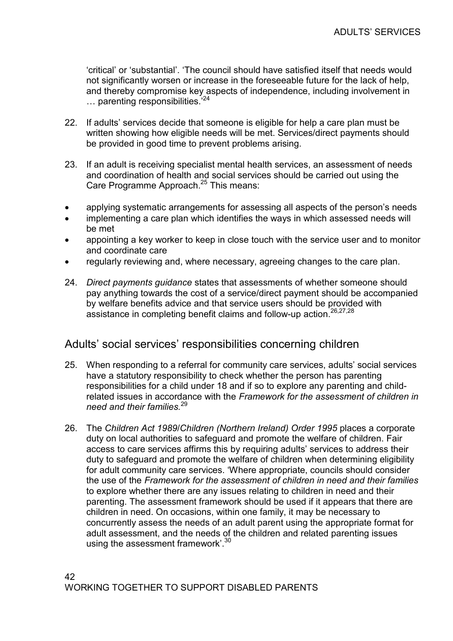'critical' or 'substantial'. 'The council should have satisfied itself that needs would not significantly worsen or increase in the foreseeable future for the lack of help, and thereby compromise key aspects of independence, including involvement in ... parenting responsibilities.<sup>'24</sup>

- 22. If adults' services decide that someone is eligible for help a care plan must be written showing how eligible needs will be met. Services/direct payments should be provided in good time to prevent problems arising.
- 23. If an adult is receiving specialist mental health services, an assessment of needs and coordination of health and social services should be carried out using the Care Programme Approach.<sup>25</sup> This means:
- applying systematic arrangements for assessing all aspects of the person's needs
- implementing a care plan which identifies the ways in which assessed needs will be met
- appointing a key worker to keep in close touch with the service user and to monitor and coordinate care
- regularly reviewing and, where necessary, agreeing changes to the care plan.
- 24. Direct payments guidance states that assessments of whether someone should pay anything towards the cost of a service/direct payment should be accompanied by welfare benefits advice and that service users should be provided with assistance in completing benefit claims and follow-up action.<sup>26,27,28</sup>

### Adults' social services' responsibilities concerning children

- 25. When responding to a referral for community care services, adults' social services have a statutory responsibility to check whether the person has parenting responsibilities for a child under 18 and if so to explore any parenting and childrelated issues in accordance with the Framework for the assessment of children in need and their families.<sup>29</sup>
- 26. The Children Act 1989/Children (Northern Ireland) Order 1995 places a corporate duty on local authorities to safeguard and promote the welfare of children. Fair access to care services affirms this by requiring adults' services to address their duty to safeguard and promote the welfare of children when determining eligibility for adult community care services. 'Where appropriate, councils should consider the use of the Framework for the assessment of children in need and their families to explore whether there are any issues relating to children in need and their parenting. The assessment framework should be used if it appears that there are children in need. On occasions, within one family, it may be necessary to concurrently assess the needs of an adult parent using the appropriate format for adult assessment, and the needs of the children and related parenting issues using the assessment framework'.<sup>30</sup>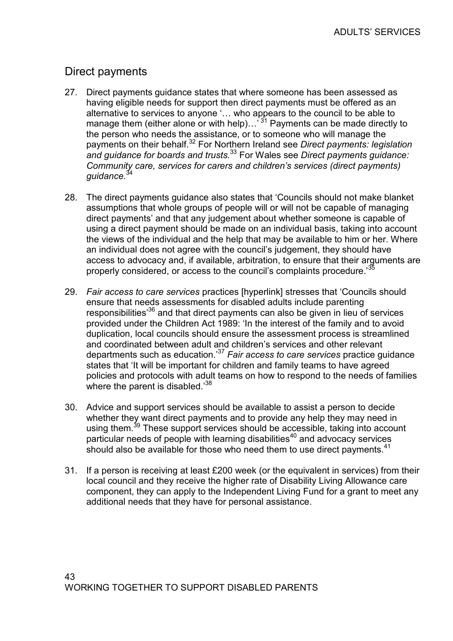### Direct payments

- 27. Direct payments guidance states that where someone has been assessed as having eligible needs for support then direct payments must be offered as an alternative to services to anyone '… who appears to the council to be able to manage them (either alone or with help)...<sup>31</sup> Payments can be made directly to the person who needs the assistance, or to someone who will manage the payments on their behalf.<sup>32</sup> For Northern Ireland see Direct payments: legislation and quidance for boards and trusts.  $33$  For Wales see Direct payments quidance: Community care, services for carers and children's services (direct payments) quidance.<sup>34</sup>
- 28. The direct payments guidance also states that 'Councils should not make blanket assumptions that whole groups of people will or will not be capable of managing direct payments' and that any judgement about whether someone is capable of using a direct payment should be made on an individual basis, taking into account the views of the individual and the help that may be available to him or her. Where an individual does not agree with the council's judgement, they should have access to advocacy and, if available, arbitration, to ensure that their arguments are properly considered, or access to the council's complaints procedure.<sup>33</sup>
- 29. Fair access to care services practices [hyperlink] stresses that 'Councils should ensure that needs assessments for disabled adults include parenting responsibilities'<sup>36</sup> and that direct payments can also be given in lieu of services provided under the Children Act 1989: 'In the interest of the family and to avoid duplication, local councils should ensure the assessment process is streamlined and coordinated between adult and children's services and other relevant departments such as education.<sup>37</sup> Fair access to care services practice guidance states that 'It will be important for children and family teams to have agreed policies and protocols with adult teams on how to respond to the needs of families where the parent is disabled. $38$
- 30. Advice and support services should be available to assist a person to decide whether they want direct payments and to provide any help they may need in using them.<sup>39</sup> These support services should be accessible, taking into account  $particular$  needs of people with learning disabilities<sup>40</sup> and advocacy services should also be available for those who need them to use direct payments. $41$
- 31. If a person is receiving at least £200 week (or the equivalent in services) from their local council and they receive the higher rate of Disability Living Allowance care component, they can apply to the Independent Living Fund for a grant to meet any additional needs that they have for personal assistance.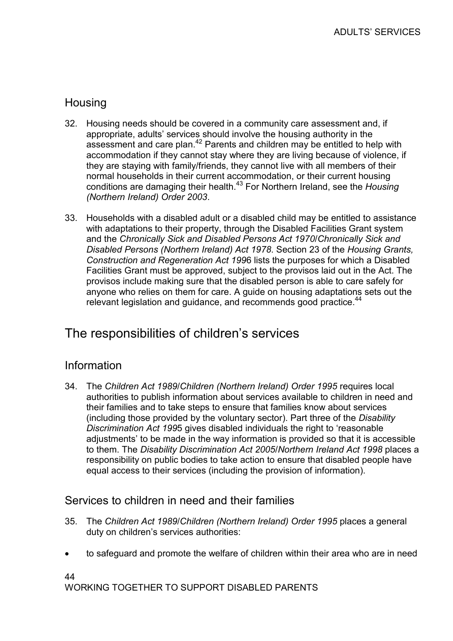### **Housing**

- 32. Housing needs should be covered in a community care assessment and, if appropriate, adults' services should involve the housing authority in the assessment and care plan.<sup>42</sup> Parents and children may be entitled to help with accommodation if they cannot stay where they are living because of violence, if they are staying with family/friends, they cannot live with all members of their normal households in their current accommodation, or their current housing conditions are damaging their health.<sup>43</sup> For Northern Ireland, see the Housing (Northern Ireland) Order 2003.
- 33. Households with a disabled adult or a disabled child may be entitled to assistance with adaptations to their property, through the Disabled Facilities Grant system and the Chronically Sick and Disabled Persons Act 1970/Chronically Sick and Disabled Persons (Northern Ireland) Act 1978. Section 23 of the Housing Grants, Construction and Regeneration Act 1996 lists the purposes for which a Disabled Facilities Grant must be approved, subject to the provisos laid out in the Act. The provisos include making sure that the disabled person is able to care safely for anyone who relies on them for care. A guide on housing adaptations sets out the relevant legislation and guidance, and recommends good practice.<sup>44</sup>

### The responsibilities of children's services

### Information

34. The Children Act 1989/Children (Northern Ireland) Order 1995 requires local authorities to publish information about services available to children in need and their families and to take steps to ensure that families know about services (including those provided by the voluntary sector). Part three of the Disability Discrimination Act 1995 gives disabled individuals the right to 'reasonable adjustments' to be made in the way information is provided so that it is accessible to them. The Disability Discrimination Act 2005/Northern Ireland Act 1998 places a responsibility on public bodies to take action to ensure that disabled people have equal access to their services (including the provision of information).

### Services to children in need and their families

- 35. The Children Act 1989/Children (Northern Ireland) Order 1995 places a general duty on children's services authorities:
- to safeguard and promote the welfare of children within their area who are in need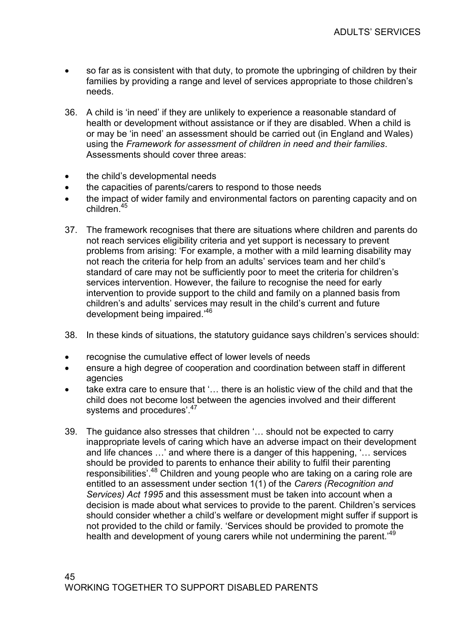- so far as is consistent with that duty, to promote the upbringing of children by their families by providing a range and level of services appropriate to those children's needs.
- 36. A child is 'in need' if they are unlikely to experience a reasonable standard of health or development without assistance or if they are disabled. When a child is or may be 'in need' an assessment should be carried out (in England and Wales) using the Framework for assessment of children in need and their families. Assessments should cover three areas:
- the child's developmental needs
- the capacities of parents/carers to respond to those needs
- the impact of wider family and environmental factors on parenting capacity and on children.<sup>45</sup>
- 37. The framework recognises that there are situations where children and parents do not reach services eligibility criteria and yet support is necessary to prevent problems from arising: 'For example, a mother with a mild learning disability may not reach the criteria for help from an adults' services team and her child's standard of care may not be sufficiently poor to meet the criteria for children's services intervention. However, the failure to recognise the need for early intervention to provide support to the child and family on a planned basis from children's and adults' services may result in the child's current and future development being impaired.'<sup>46</sup>
- 38. In these kinds of situations, the statutory guidance says children's services should:
- recognise the cumulative effect of lower levels of needs
- ensure a high degree of cooperation and coordination between staff in different agencies
- take extra care to ensure that '... there is an holistic view of the child and that the child does not become lost between the agencies involved and their different systems and procedures'.<sup>47</sup>
- 39. The guidance also stresses that children '… should not be expected to carry inappropriate levels of caring which have an adverse impact on their development and life chances …' and where there is a danger of this happening, '… services should be provided to parents to enhance their ability to fulfil their parenting responsibilities'.<sup>48</sup> Children and young people who are taking on a caring role are entitled to an assessment under section 1(1) of the Carers (Recognition and Services) Act 1995 and this assessment must be taken into account when a decision is made about what services to provide to the parent. Children's services should consider whether a child's welfare or development might suffer if support is not provided to the child or family. 'Services should be provided to promote the health and development of young carers while not undermining the parent.<sup>49</sup>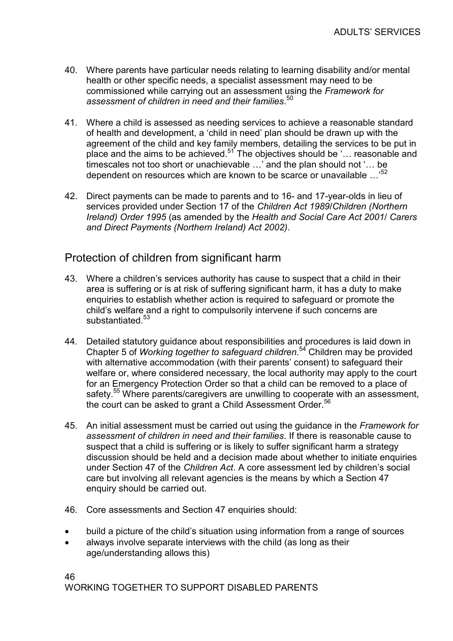- 40. Where parents have particular needs relating to learning disability and/or mental health or other specific needs, a specialist assessment may need to be commissioned while carrying out an assessment using the Framework for assessment of children in need and their families.<sup>50</sup>
- 41. Where a child is assessed as needing services to achieve a reasonable standard of health and development, a 'child in need' plan should be drawn up with the agreement of the child and key family members, detailing the services to be put in place and the aims to be achieved.<sup>51</sup> The objectives should be '... reasonable and timescales not too short or unachievable …' and the plan should not '… be dependent on resources which are known to be scarce or unavailable  $\ldots$ <sup>52</sup>
- 42. Direct payments can be made to parents and to 16- and 17-year-olds in lieu of services provided under Section 17 of the Children Act 1989/Children (Northern Ireland) Order 1995 (as amended by the Health and Social Care Act 2001/ Carers and Direct Payments (Northern Ireland) Act 2002).

### Protection of children from significant harm

- 43. Where a children's services authority has cause to suspect that a child in their area is suffering or is at risk of suffering significant harm, it has a duty to make enquiries to establish whether action is required to safeguard or promote the child's welfare and a right to compulsorily intervene if such concerns are substantiated.<sup>53</sup>
- 44. Detailed statutory guidance about responsibilities and procedures is laid down in Chapter 5 of *Working together to safeguard children*.<sup>54</sup> Children may be provided with alternative accommodation (with their parents' consent) to safeguard their welfare or, where considered necessary, the local authority may apply to the court for an Emergency Protection Order so that a child can be removed to a place of safety.<sup>55</sup> Where parents/caregivers are unwilling to cooperate with an assessment, the court can be asked to grant a Child Assessment Order.<sup>56</sup>
- 45. An initial assessment must be carried out using the guidance in the Framework for assessment of children in need and their families. If there is reasonable cause to suspect that a child is suffering or is likely to suffer significant harm a strategy discussion should be held and a decision made about whether to initiate enquiries under Section 47 of the Children Act. A core assessment led by children's social care but involving all relevant agencies is the means by which a Section 47 enquiry should be carried out.
- 46. Core assessments and Section 47 enquiries should:
- build a picture of the child's situation using information from a range of sources
- always involve separate interviews with the child (as long as their age/understanding allows this)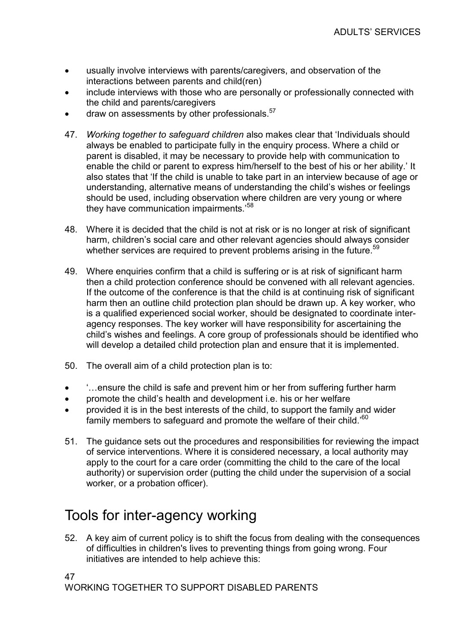- usually involve interviews with parents/caregivers, and observation of the interactions between parents and child(ren)
- include interviews with those who are personally or professionally connected with the child and parents/caregivers
- draw on assessments by other professionals.<sup>57</sup>
- 47. Working together to safeguard children also makes clear that 'Individuals should always be enabled to participate fully in the enquiry process. Where a child or parent is disabled, it may be necessary to provide help with communication to enable the child or parent to express him/herself to the best of his or her ability.' It also states that 'If the child is unable to take part in an interview because of age or understanding, alternative means of understanding the child's wishes or feelings should be used, including observation where children are very young or where they have communication impairments.'<sup>58</sup>
- 48. Where it is decided that the child is not at risk or is no longer at risk of significant harm, children's social care and other relevant agencies should always consider whether services are required to prevent problems arising in the future.<sup>59</sup>
- 49. Where enquiries confirm that a child is suffering or is at risk of significant harm then a child protection conference should be convened with all relevant agencies. If the outcome of the conference is that the child is at continuing risk of significant harm then an outline child protection plan should be drawn up. A key worker, who is a qualified experienced social worker, should be designated to coordinate interagency responses. The key worker will have responsibility for ascertaining the child's wishes and feelings. A core group of professionals should be identified who will develop a detailed child protection plan and ensure that it is implemented.
- 50. The overall aim of a child protection plan is to:
- '...ensure the child is safe and prevent him or her from suffering further harm
- promote the child's health and development i.e. his or her welfare
- provided it is in the best interests of the child, to support the family and wider family members to safeguard and promote the welfare of their child.'<sup>60</sup>
- 51. The guidance sets out the procedures and responsibilities for reviewing the impact of service interventions. Where it is considered necessary, a local authority may apply to the court for a care order (committing the child to the care of the local authority) or supervision order (putting the child under the supervision of a social worker, or a probation officer).

## Tools for inter-agency working

52. A key aim of current policy is to shift the focus from dealing with the consequences of difficulties in children's lives to preventing things from going wrong. Four initiatives are intended to help achieve this:

47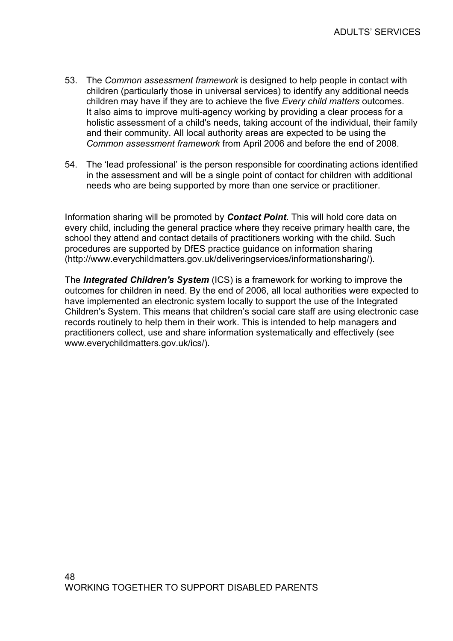- 53. The Common assessment framework is designed to help people in contact with children (particularly those in universal services) to identify any additional needs children may have if they are to achieve the five Every child matters outcomes. It also aims to improve multi-agency working by providing a clear process for a holistic assessment of a child's needs, taking account of the individual, their family and their community. All local authority areas are expected to be using the Common assessment framework from April 2006 and before the end of 2008.
- 54. The 'lead professional' is the person responsible for coordinating actions identified in the assessment and will be a single point of contact for children with additional needs who are being supported by more than one service or practitioner.

Information sharing will be promoted by **Contact Point.** This will hold core data on every child, including the general practice where they receive primary health care, the school they attend and contact details of practitioners working with the child. Such procedures are supported by DfES practice guidance on information sharing (http://www.everychildmatters.gov.uk/deliveringservices/informationsharing/).

The **Integrated Children's System** (ICS) is a framework for working to improve the outcomes for children in need. By the end of 2006, all local authorities were expected to have implemented an electronic system locally to support the use of the Integrated Children's System. This means that children's social care staff are using electronic case records routinely to help them in their work. This is intended to help managers and practitioners collect, use and share information systematically and effectively (see www.everychildmatters.gov.uk/ics/).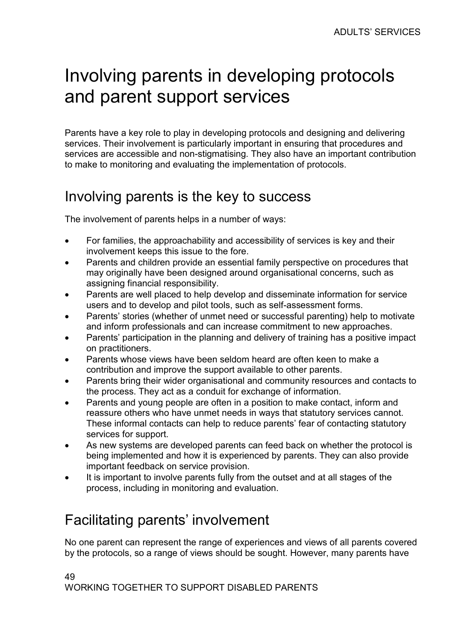# Involving parents in developing protocols and parent support services

Parents have a key role to play in developing protocols and designing and delivering services. Their involvement is particularly important in ensuring that procedures and services are accessible and non-stigmatising. They also have an important contribution to make to monitoring and evaluating the implementation of protocols.

# Involving parents is the key to success

The involvement of parents helps in a number of ways:

- For families, the approachability and accessibility of services is key and their involvement keeps this issue to the fore.
- Parents and children provide an essential family perspective on procedures that may originally have been designed around organisational concerns, such as assigning financial responsibility.
- Parents are well placed to help develop and disseminate information for service users and to develop and pilot tools, such as self-assessment forms.
- Parents' stories (whether of unmet need or successful parenting) help to motivate and inform professionals and can increase commitment to new approaches.
- Parents' participation in the planning and delivery of training has a positive impact on practitioners.
- Parents whose views have been seldom heard are often keen to make a contribution and improve the support available to other parents.
- Parents bring their wider organisational and community resources and contacts to the process. They act as a conduit for exchange of information.
- Parents and young people are often in a position to make contact, inform and reassure others who have unmet needs in ways that statutory services cannot. These informal contacts can help to reduce parents' fear of contacting statutory services for support.
- As new systems are developed parents can feed back on whether the protocol is being implemented and how it is experienced by parents. They can also provide important feedback on service provision.
- It is important to involve parents fully from the outset and at all stages of the process, including in monitoring and evaluation.

# Facilitating parents' involvement

No one parent can represent the range of experiences and views of all parents covered by the protocols, so a range of views should be sought. However, many parents have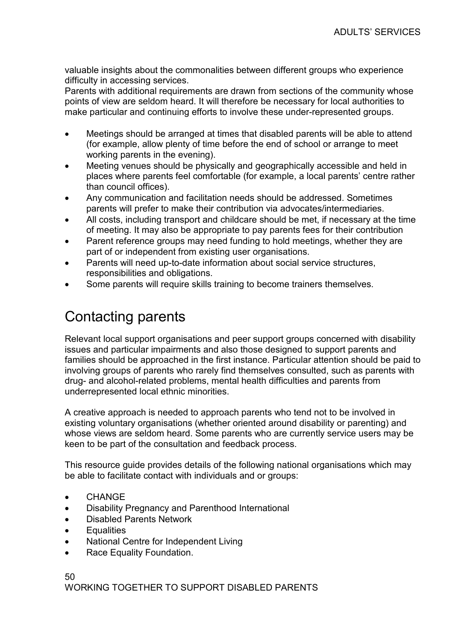valuable insights about the commonalities between different groups who experience difficulty in accessing services.

Parents with additional requirements are drawn from sections of the community whose points of view are seldom heard. It will therefore be necessary for local authorities to make particular and continuing efforts to involve these under-represented groups.

- Meetings should be arranged at times that disabled parents will be able to attend (for example, allow plenty of time before the end of school or arrange to meet working parents in the evening).
- Meeting venues should be physically and geographically accessible and held in places where parents feel comfortable (for example, a local parents' centre rather than council offices).
- Any communication and facilitation needs should be addressed. Sometimes parents will prefer to make their contribution via advocates/intermediaries.
- All costs, including transport and childcare should be met, if necessary at the time of meeting. It may also be appropriate to pay parents fees for their contribution
- Parent reference groups may need funding to hold meetings, whether they are part of or independent from existing user organisations.
- Parents will need up-to-date information about social service structures, responsibilities and obligations.
- Some parents will require skills training to become trainers themselves.

# Contacting parents

Relevant local support organisations and peer support groups concerned with disability issues and particular impairments and also those designed to support parents and families should be approached in the first instance. Particular attention should be paid to involving groups of parents who rarely find themselves consulted, such as parents with drug- and alcohol-related problems, mental health difficulties and parents from underrepresented local ethnic minorities.

A creative approach is needed to approach parents who tend not to be involved in existing voluntary organisations (whether oriented around disability or parenting) and whose views are seldom heard. Some parents who are currently service users may be keen to be part of the consultation and feedback process.

This resource guide provides details of the following national organisations which may be able to facilitate contact with individuals and or groups:

- **CHANGE**
- Disability Pregnancy and Parenthood International
- Disabled Parents Network
- **Equalities**
- National Centre for Independent Living
- Race Equality Foundation.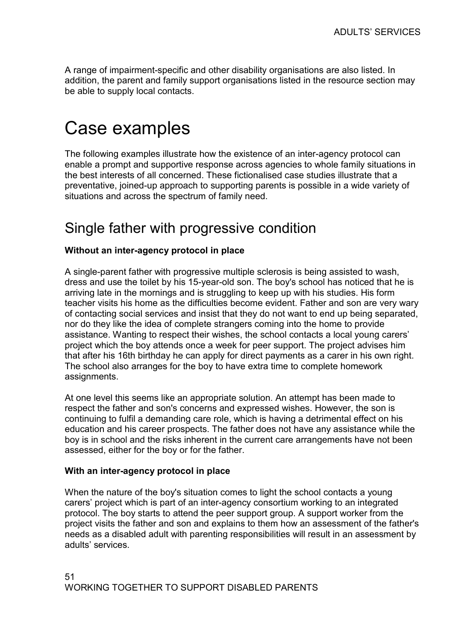A range of impairment-specific and other disability organisations are also listed. In addition, the parent and family support organisations listed in the resource section may be able to supply local contacts.

# Case examples

The following examples illustrate how the existence of an inter-agency protocol can enable a prompt and supportive response across agencies to whole family situations in the best interests of all concerned. These fictionalised case studies illustrate that a preventative, joined-up approach to supporting parents is possible in a wide variety of situations and across the spectrum of family need.

## Single father with progressive condition

#### Without an inter-agency protocol in place

A single-parent father with progressive multiple sclerosis is being assisted to wash, dress and use the toilet by his 15-year-old son. The boy's school has noticed that he is arriving late in the mornings and is struggling to keep up with his studies. His form teacher visits his home as the difficulties become evident. Father and son are very wary of contacting social services and insist that they do not want to end up being separated, nor do they like the idea of complete strangers coming into the home to provide assistance. Wanting to respect their wishes, the school contacts a local young carers' project which the boy attends once a week for peer support. The project advises him that after his 16th birthday he can apply for direct payments as a carer in his own right. The school also arranges for the boy to have extra time to complete homework assignments.

At one level this seems like an appropriate solution. An attempt has been made to respect the father and son's concerns and expressed wishes. However, the son is continuing to fulfil a demanding care role, which is having a detrimental effect on his education and his career prospects. The father does not have any assistance while the boy is in school and the risks inherent in the current care arrangements have not been assessed, either for the boy or for the father.

#### With an inter-agency protocol in place

When the nature of the boy's situation comes to light the school contacts a young carers' project which is part of an inter-agency consortium working to an integrated protocol. The boy starts to attend the peer support group. A support worker from the project visits the father and son and explains to them how an assessment of the father's needs as a disabled adult with parenting responsibilities will result in an assessment by adults' services.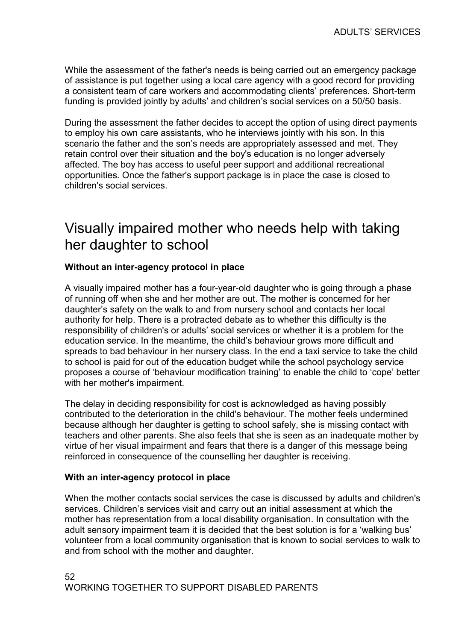While the assessment of the father's needs is being carried out an emergency package of assistance is put together using a local care agency with a good record for providing a consistent team of care workers and accommodating clients' preferences. Short-term funding is provided jointly by adults' and children's social services on a 50/50 basis.

During the assessment the father decides to accept the option of using direct payments to employ his own care assistants, who he interviews jointly with his son. In this scenario the father and the son's needs are appropriately assessed and met. They retain control over their situation and the boy's education is no longer adversely affected. The boy has access to useful peer support and additional recreational opportunities. Once the father's support package is in place the case is closed to children's social services.

# Visually impaired mother who needs help with taking her daughter to school

#### Without an inter-agency protocol in place

A visually impaired mother has a four-year-old daughter who is going through a phase of running off when she and her mother are out. The mother is concerned for her daughter's safety on the walk to and from nursery school and contacts her local authority for help. There is a protracted debate as to whether this difficulty is the responsibility of children's or adults' social services or whether it is a problem for the education service. In the meantime, the child's behaviour grows more difficult and spreads to bad behaviour in her nursery class. In the end a taxi service to take the child to school is paid for out of the education budget while the school psychology service proposes a course of 'behaviour modification training' to enable the child to 'cope' better with her mother's impairment.

The delay in deciding responsibility for cost is acknowledged as having possibly contributed to the deterioration in the child's behaviour. The mother feels undermined because although her daughter is getting to school safely, she is missing contact with teachers and other parents. She also feels that she is seen as an inadequate mother by virtue of her visual impairment and fears that there is a danger of this message being reinforced in consequence of the counselling her daughter is receiving.

#### With an inter-agency protocol in place

When the mother contacts social services the case is discussed by adults and children's services. Children's services visit and carry out an initial assessment at which the mother has representation from a local disability organisation. In consultation with the adult sensory impairment team it is decided that the best solution is for a 'walking bus' volunteer from a local community organisation that is known to social services to walk to and from school with the mother and daughter.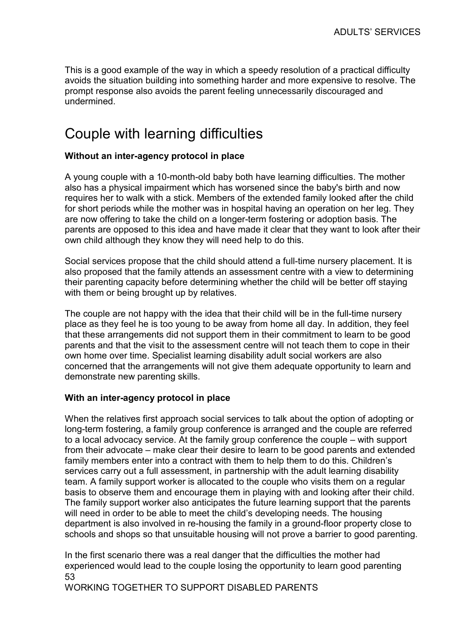This is a good example of the way in which a speedy resolution of a practical difficulty avoids the situation building into something harder and more expensive to resolve. The prompt response also avoids the parent feeling unnecessarily discouraged and undermined.

# Couple with learning difficulties

#### Without an inter-agency protocol in place

A young couple with a 10-month-old baby both have learning difficulties. The mother also has a physical impairment which has worsened since the baby's birth and now requires her to walk with a stick. Members of the extended family looked after the child for short periods while the mother was in hospital having an operation on her leg. They are now offering to take the child on a longer-term fostering or adoption basis. The parents are opposed to this idea and have made it clear that they want to look after their own child although they know they will need help to do this.

Social services propose that the child should attend a full-time nursery placement. It is also proposed that the family attends an assessment centre with a view to determining their parenting capacity before determining whether the child will be better off staying with them or being brought up by relatives.

The couple are not happy with the idea that their child will be in the full-time nursery place as they feel he is too young to be away from home all day. In addition, they feel that these arrangements did not support them in their commitment to learn to be good parents and that the visit to the assessment centre will not teach them to cope in their own home over time. Specialist learning disability adult social workers are also concerned that the arrangements will not give them adequate opportunity to learn and demonstrate new parenting skills.

#### With an inter-agency protocol in place

When the relatives first approach social services to talk about the option of adopting or long-term fostering, a family group conference is arranged and the couple are referred to a local advocacy service. At the family group conference the couple – with support from their advocate – make clear their desire to learn to be good parents and extended family members enter into a contract with them to help them to do this. Children's services carry out a full assessment, in partnership with the adult learning disability team. A family support worker is allocated to the couple who visits them on a regular basis to observe them and encourage them in playing with and looking after their child. The family support worker also anticipates the future learning support that the parents will need in order to be able to meet the child's developing needs. The housing department is also involved in re-housing the family in a ground-floor property close to schools and shops so that unsuitable housing will not prove a barrier to good parenting.

53 In the first scenario there was a real danger that the difficulties the mother had experienced would lead to the couple losing the opportunity to learn good parenting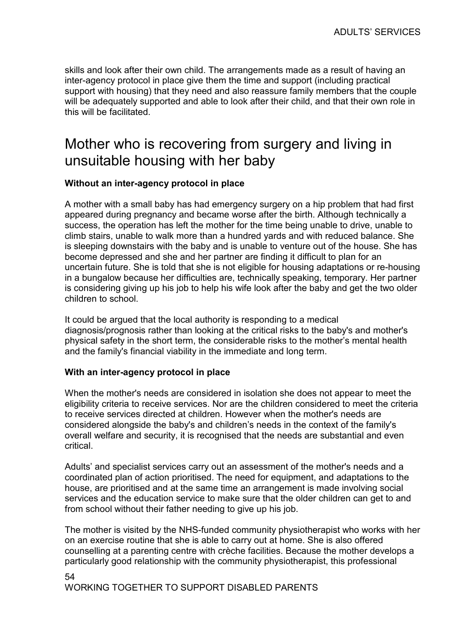skills and look after their own child. The arrangements made as a result of having an inter-agency protocol in place give them the time and support (including practical support with housing) that they need and also reassure family members that the couple will be adequately supported and able to look after their child, and that their own role in this will be facilitated.

# Mother who is recovering from surgery and living in unsuitable housing with her baby

#### Without an inter-agency protocol in place

A mother with a small baby has had emergency surgery on a hip problem that had first appeared during pregnancy and became worse after the birth. Although technically a success, the operation has left the mother for the time being unable to drive, unable to climb stairs, unable to walk more than a hundred yards and with reduced balance. She is sleeping downstairs with the baby and is unable to venture out of the house. She has become depressed and she and her partner are finding it difficult to plan for an uncertain future. She is told that she is not eligible for housing adaptations or re-housing in a bungalow because her difficulties are, technically speaking, temporary. Her partner is considering giving up his job to help his wife look after the baby and get the two older children to school.

It could be argued that the local authority is responding to a medical diagnosis/prognosis rather than looking at the critical risks to the baby's and mother's physical safety in the short term, the considerable risks to the mother's mental health and the family's financial viability in the immediate and long term.

#### With an inter-agency protocol in place

When the mother's needs are considered in isolation she does not appear to meet the eligibility criteria to receive services. Nor are the children considered to meet the criteria to receive services directed at children. However when the mother's needs are considered alongside the baby's and children's needs in the context of the family's overall welfare and security, it is recognised that the needs are substantial and even critical.

Adults' and specialist services carry out an assessment of the mother's needs and a coordinated plan of action prioritised. The need for equipment, and adaptations to the house, are prioritised and at the same time an arrangement is made involving social services and the education service to make sure that the older children can get to and from school without their father needing to give up his job.

The mother is visited by the NHS-funded community physiotherapist who works with her on an exercise routine that she is able to carry out at home. She is also offered counselling at a parenting centre with crèche facilities. Because the mother develops a particularly good relationship with the community physiotherapist, this professional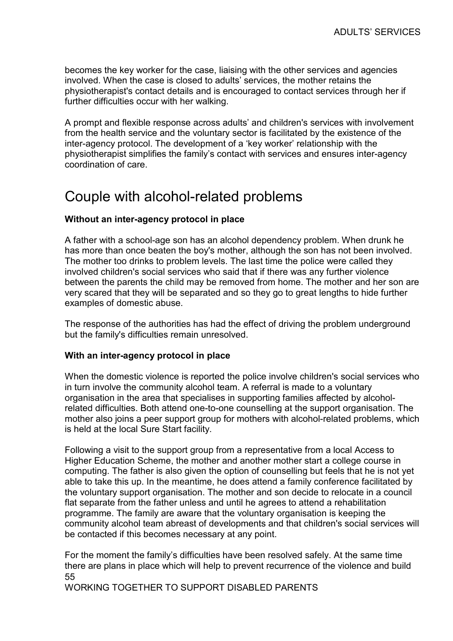becomes the key worker for the case, liaising with the other services and agencies involved. When the case is closed to adults' services, the mother retains the physiotherapist's contact details and is encouraged to contact services through her if further difficulties occur with her walking.

A prompt and flexible response across adults' and children's services with involvement from the health service and the voluntary sector is facilitated by the existence of the inter-agency protocol. The development of a 'key worker' relationship with the physiotherapist simplifies the family's contact with services and ensures inter-agency coordination of care.

### Couple with alcohol-related problems

#### Without an inter-agency protocol in place

A father with a school-age son has an alcohol dependency problem. When drunk he has more than once beaten the boy's mother, although the son has not been involved. The mother too drinks to problem levels. The last time the police were called they involved children's social services who said that if there was any further violence between the parents the child may be removed from home. The mother and her son are very scared that they will be separated and so they go to great lengths to hide further examples of domestic abuse.

The response of the authorities has had the effect of driving the problem underground but the family's difficulties remain unresolved.

#### With an inter-agency protocol in place

When the domestic violence is reported the police involve children's social services who in turn involve the community alcohol team. A referral is made to a voluntary organisation in the area that specialises in supporting families affected by alcoholrelated difficulties. Both attend one-to-one counselling at the support organisation. The mother also joins a peer support group for mothers with alcohol-related problems, which is held at the local Sure Start facility.

Following a visit to the support group from a representative from a local Access to Higher Education Scheme, the mother and another mother start a college course in computing. The father is also given the option of counselling but feels that he is not yet able to take this up. In the meantime, he does attend a family conference facilitated by the voluntary support organisation. The mother and son decide to relocate in a council flat separate from the father unless and until he agrees to attend a rehabilitation programme. The family are aware that the voluntary organisation is keeping the community alcohol team abreast of developments and that children's social services will be contacted if this becomes necessary at any point.

55 For the moment the family's difficulties have been resolved safely. At the same time there are plans in place which will help to prevent recurrence of the violence and build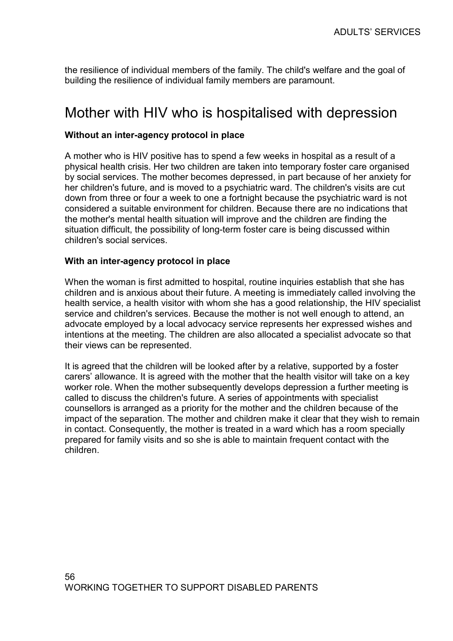the resilience of individual members of the family. The child's welfare and the goal of building the resilience of individual family members are paramount.

### Mother with HIV who is hospitalised with depression

#### Without an inter-agency protocol in place

A mother who is HIV positive has to spend a few weeks in hospital as a result of a physical health crisis. Her two children are taken into temporary foster care organised by social services. The mother becomes depressed, in part because of her anxiety for her children's future, and is moved to a psychiatric ward. The children's visits are cut down from three or four a week to one a fortnight because the psychiatric ward is not considered a suitable environment for children. Because there are no indications that the mother's mental health situation will improve and the children are finding the situation difficult, the possibility of long-term foster care is being discussed within children's social services.

#### With an inter-agency protocol in place

When the woman is first admitted to hospital, routine inquiries establish that she has children and is anxious about their future. A meeting is immediately called involving the health service, a health visitor with whom she has a good relationship, the HIV specialist service and children's services. Because the mother is not well enough to attend, an advocate employed by a local advocacy service represents her expressed wishes and intentions at the meeting. The children are also allocated a specialist advocate so that their views can be represented.

It is agreed that the children will be looked after by a relative, supported by a foster carers' allowance. It is agreed with the mother that the health visitor will take on a key worker role. When the mother subsequently develops depression a further meeting is called to discuss the children's future. A series of appointments with specialist counsellors is arranged as a priority for the mother and the children because of the impact of the separation. The mother and children make it clear that they wish to remain in contact. Consequently, the mother is treated in a ward which has a room specially prepared for family visits and so she is able to maintain frequent contact with the children.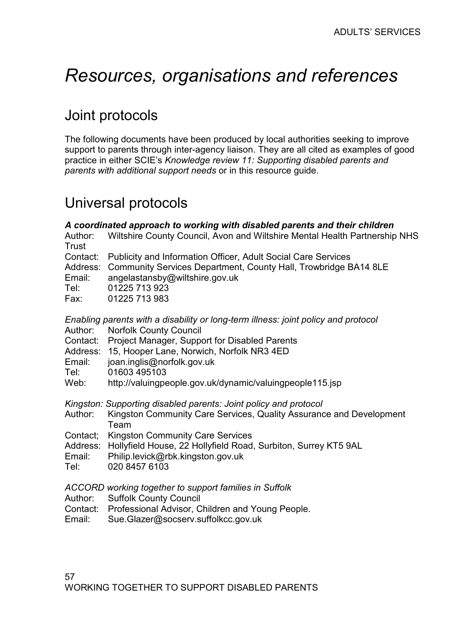# Resources, organisations and references

# Joint protocols

The following documents have been produced by local authorities seeking to improve support to parents through inter-agency liaison. They are all cited as examples of good practice in either SCIE's Knowledge review 11: Supporting disabled parents and parents with additional support needs or in this resource guide.

# Universal protocols

| Author:<br>Trust                               | A coordinated approach to working with disabled parents and their children<br>Wiltshire County Council, Avon and Wiltshire Mental Health Partnership NHS                                                                                                                                                                              |
|------------------------------------------------|---------------------------------------------------------------------------------------------------------------------------------------------------------------------------------------------------------------------------------------------------------------------------------------------------------------------------------------|
| Contact:<br>Address:<br>Email:<br>Tel:<br>Fax: | Publicity and Information Officer, Adult Social Care Services<br>Community Services Department, County Hall, Trowbridge BA14 8LE<br>angelastansby@wiltshire.gov.uk<br>01225 713 923<br>01225 713 983                                                                                                                                  |
| Contact:<br>Email:<br>Tel:<br>Web:             | Enabling parents with a disability or long-term illness: joint policy and protocol<br>Author: Norfolk County Council<br>Project Manager, Support for Disabled Parents<br>Address: 15, Hooper Lane, Norwich, Norfolk NR3 4ED<br>joan.inglis@norfolk.gov.uk<br>01603 495103<br>http://valuingpeople.gov.uk/dynamic/valuingpeople115.jsp |
| Author:<br>Address:<br>Email:<br>Tel:          | Kingston: Supporting disabled parents: Joint policy and protocol<br>Kingston Community Care Services, Quality Assurance and Development<br>Team<br>Contact; Kingston Community Care Services<br>Hollyfield House, 22 Hollyfield Road, Surbiton, Surrey KT5 9AL<br>Philip.levick@rbk.kingston.gov.uk<br>020 8457 6103                  |
| Author:                                        | ACCORD working together to support families in Suffolk<br><b>Suffolk County Council</b>                                                                                                                                                                                                                                               |

- Contact: Professional Advisor, Children and Young People.
- Email: Sue.Glazer@socserv.suffolkcc.gov.uk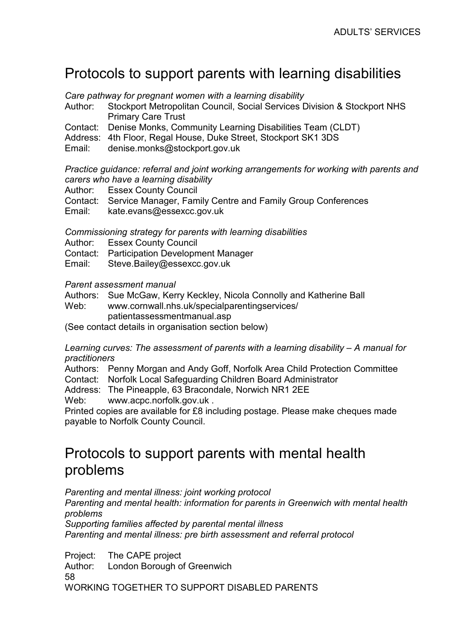## Protocols to support parents with learning disabilities

Care pathway for pregnant women with a learning disability

- Author: Stockport Metropolitan Council, Social Services Division & Stockport NHS Primary Care Trust
- Contact: Denise Monks, Community Learning Disabilities Team (CLDT)

Address: 4th Floor, Regal House, Duke Street, Stockport SK1 3DS

Email: denise.monks@stockport.gov.uk

Practice guidance: referral and joint working arrangements for working with parents and carers who have a learning disability

Author: Essex County Council

Contact: Service Manager, Family Centre and Family Group Conferences

Email: kate.evans@essexcc.gov.uk

Commissioning strategy for parents with learning disabilities

Author: Essex County Council

Contact: Participation Development Manager

Email: Steve.Bailey@essexcc.gov.uk

#### Parent assessment manual

Authors: Sue McGaw, Kerry Keckley, Nicola Connolly and Katherine Ball

Web: www.cornwall.nhs.uk/specialparentingservices/ patientassessmentmanual.asp

(See contact details in organisation section below)

Learning curves: The assessment of parents with a learning disability – A manual for practitioners

Authors: Penny Morgan and Andy Goff, Norfolk Area Child Protection Committee

Contact: Norfolk Local Safeguarding Children Board Administrator

Address: The Pineapple, 63 Bracondale, Norwich NR1 2EE

Web: www.acpc.norfolk.gov.uk.

Printed copies are available for £8 including postage. Please make cheques made payable to Norfolk County Council.

### Protocols to support parents with mental health problems

Parenting and mental illness: joint working protocol Parenting and mental health: information for parents in Greenwich with mental health problems Supporting families affected by parental mental illness

Parenting and mental illness: pre birth assessment and referral protocol

58 WORKING TOGETHER TO SUPPORT DISABLED PARENTS Project: The CAPE project Author: London Borough of Greenwich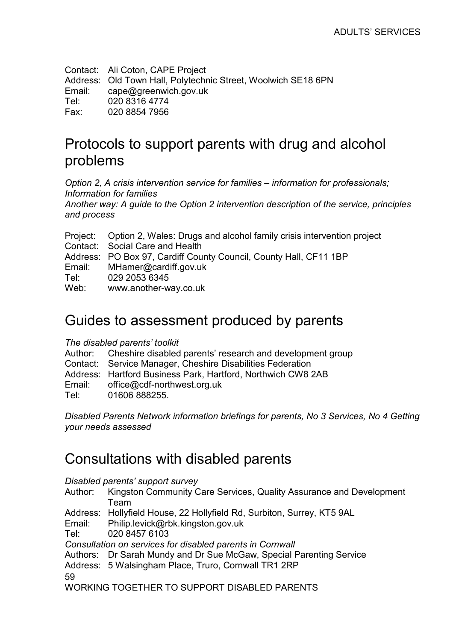Contact: Ali Coton, CAPE Project Address: Old Town Hall, Polytechnic Street, Woolwich SE18 6PN Email: cape@greenwich.gov.uk Tel: 020 8316 4774 Fax: 020 8854 7956

# Protocols to support parents with drug and alcohol problems

Option 2, A crisis intervention service for families – information for professionals; Information for families

Another way: A guide to the Option 2 intervention description of the service, principles and process

- Project: Option 2, Wales: Drugs and alcohol family crisis intervention project
- Contact: Social Care and Health
- Address: PO Box 97, Cardiff County Council, County Hall, CF11 1BP
- Email: MHamer@cardiff.gov.uk
- Tel: 029 2053 6345

Web: www.another-way.co.uk

### Guides to assessment produced by parents

#### The disabled parents' toolkit

Author: Cheshire disabled parents' research and development group

Contact: Service Manager, Cheshire Disabilities Federation

- Address: Hartford Business Park, Hartford, Northwich CW8 2AB
- Email: office@cdf-northwest.org.uk

Tel: 01606 888255.

Disabled Parents Network information briefings for parents, No 3 Services, No 4 Getting your needs assessed

### Consultations with disabled parents

Disabled parents' support survey

- Author: Kingston Community Care Services, Quality Assurance and Development Team
- Address: Hollyfield House, 22 Hollyfield Rd, Surbiton, Surrey, KT5 9AL
- Email: Philip.levick@rbk.kingston.gov.uk

Tel: 020 8457 6103

Consultation on services for disabled parents in Cornwall

Authors: Dr Sarah Mundy and Dr Sue McGaw, Special Parenting Service

59 Address: 5 Walsingham Place, Truro, Cornwall TR1 2RP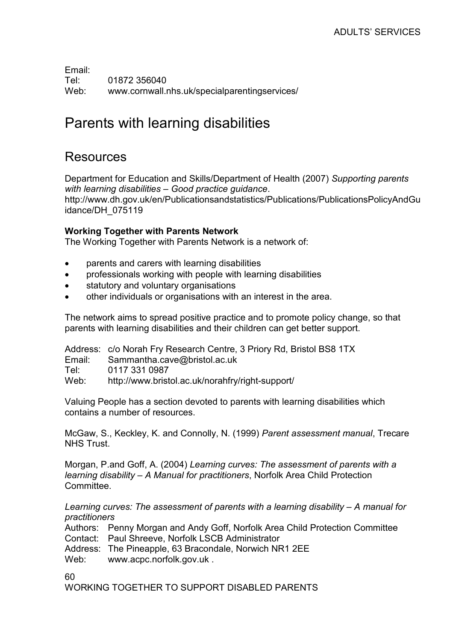Email: Tel: 01872 356040 Web: www.cornwall.nhs.uk/specialparentingservices/

## Parents with learning disabilities

### Resources

Department for Education and Skills/Department of Health (2007) Supporting parents with learning disabilities – Good practice guidance. http://www.dh.gov.uk/en/Publicationsandstatistics/Publications/PublicationsPolicyAndGu idance/DH\_075119

#### Working Together with Parents Network

The Working Together with Parents Network is a network of:

- parents and carers with learning disabilities
- professionals working with people with learning disabilities
- statutory and voluntary organisations
- other individuals or organisations with an interest in the area.

The network aims to spread positive practice and to promote policy change, so that parents with learning disabilities and their children can get better support.

Address: c/o Norah Fry Research Centre, 3 Priory Rd, Bristol BS8 1TX

Email: Sammantha.cave@bristol.ac.uk

Tel: 0117 331 0987

Web: http://www.bristol.ac.uk/norahfry/right-support/

Valuing People has a section devoted to parents with learning disabilities which contains a number of resources.

McGaw, S., Keckley, K. and Connolly, N. (1999) Parent assessment manual, Trecare NHS Trust.

Morgan, P.and Goff, A. (2004) Learning curves: The assessment of parents with a learning disability – A Manual for practitioners, Norfolk Area Child Protection Committee.

Learning curves: The assessment of parents with a learning disability – A manual for practitioners

Authors: Penny Morgan and Andy Goff, Norfolk Area Child Protection Committee Contact: Paul Shreeve, Norfolk LSCB Administrator

Address: The Pineapple, 63 Bracondale, Norwich NR1 2EE

Web: www.acpc.norfolk.gov.uk.

60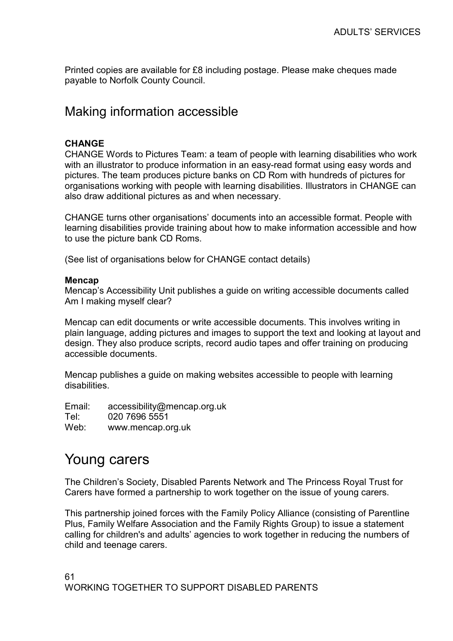Printed copies are available for £8 including postage. Please make cheques made payable to Norfolk County Council.

### Making information accessible

#### CHANGE

CHANGE Words to Pictures Team: a team of people with learning disabilities who work with an illustrator to produce information in an easy-read format using easy words and pictures. The team produces picture banks on CD Rom with hundreds of pictures for organisations working with people with learning disabilities. Illustrators in CHANGE can also draw additional pictures as and when necessary.

CHANGE turns other organisations' documents into an accessible format. People with learning disabilities provide training about how to make information accessible and how to use the picture bank CD Roms.

(See list of organisations below for CHANGE contact details)

#### Mencap

Mencap's Accessibility Unit publishes a guide on writing accessible documents called Am I making myself clear?

Mencap can edit documents or write accessible documents. This involves writing in plain language, adding pictures and images to support the text and looking at layout and design. They also produce scripts, record audio tapes and offer training on producing accessible documents.

Mencap publishes a guide on making websites accessible to people with learning disabilities.

Email: accessibility@mencap.org.uk Tel: 020 7696 5551 Web: www.mencap.org.uk

### Young carers

The Children's Society, Disabled Parents Network and The Princess Royal Trust for Carers have formed a partnership to work together on the issue of young carers.

This partnership joined forces with the Family Policy Alliance (consisting of Parentline Plus, Family Welfare Association and the Family Rights Group) to issue a statement calling for children's and adults' agencies to work together in reducing the numbers of child and teenage carers.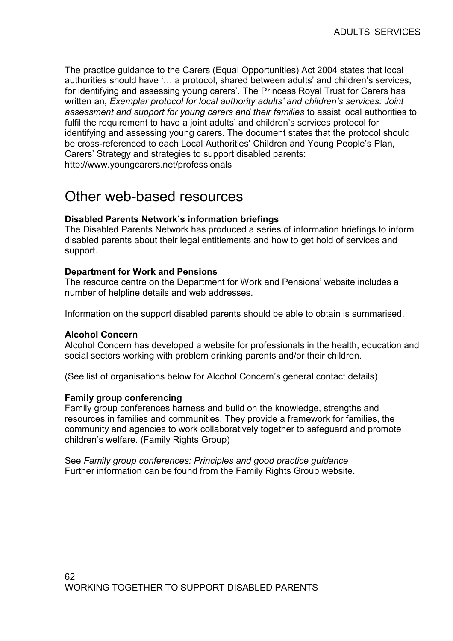The practice guidance to the Carers (Equal Opportunities) Act 2004 states that local authorities should have '… a protocol, shared between adults' and children's services, for identifying and assessing young carers'. The Princess Royal Trust for Carers has written an, Exemplar protocol for local authority adults' and children's services: Joint assessment and support for young carers and their families to assist local authorities to fulfil the requirement to have a joint adults' and children's services protocol for identifying and assessing young carers. The document states that the protocol should be cross-referenced to each Local Authorities' Children and Young People's Plan, Carers' Strategy and strategies to support disabled parents: http://www.youngcarers.net/professionals

### Other web-based resources

#### Disabled Parents Network's information briefings

The Disabled Parents Network has produced a series of information briefings to inform disabled parents about their legal entitlements and how to get hold of services and support.

#### Department for Work and Pensions

The resource centre on the Department for Work and Pensions' website includes a number of helpline details and web addresses.

Information on the support disabled parents should be able to obtain is summarised.

#### Alcohol Concern

Alcohol Concern has developed a website for professionals in the health, education and social sectors working with problem drinking parents and/or their children.

(See list of organisations below for Alcohol Concern's general contact details)

#### Family group conferencing

Family group conferences harness and build on the knowledge, strengths and resources in families and communities. They provide a framework for families, the community and agencies to work collaboratively together to safeguard and promote children's welfare. (Family Rights Group)

See Family group conferences: Principles and good practice guidance Further information can be found from the Family Rights Group website.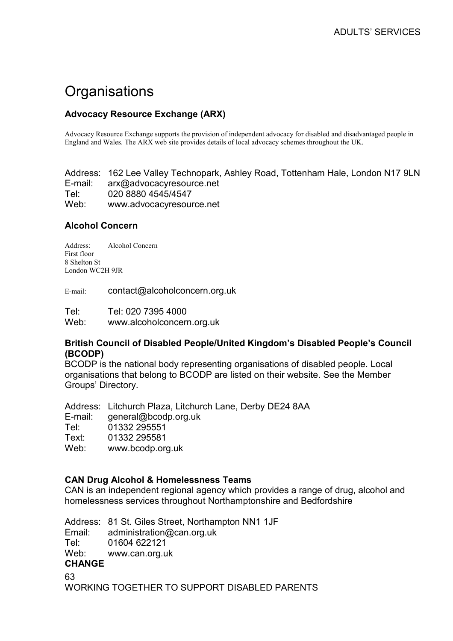# **Organisations**

#### Advocacy Resource Exchange (ARX)

Advocacy Resource Exchange supports the provision of independent advocacy for disabled and disadvantaged people in England and Wales. The ARX web site provides details of local advocacy schemes throughout the UK.

Address: 162 Lee Valley Technopark, Ashley Road, Tottenham Hale, London N17 9LN E-mail: arx@advocacyresource.net Tel: 020 8880 4545/4547 Web: www.advocacyresource.net

#### Alcohol Concern

Address: Alcohol Concern First floor 8 Shelton St London WC2H 9JR

E-mail: contact@alcoholconcern.org.uk

Tel: Tel: 020 7395 4000 Web: www.alcoholconcern.org.uk

#### British Council of Disabled People/United Kingdom's Disabled People's Council (BCODP)

BCODP is the national body representing organisations of disabled people. Local organisations that belong to BCODP are listed on their website. See the Member Groups' Directory.

Address: Litchurch Plaza, Litchurch Lane, Derby DE24 8AA E-mail: general@bcodp.org.uk Tel: 01332 295551 Text: 01332 295581 Web: www.bcodp.org.uk

#### CAN Drug Alcohol & Homelessness Teams

CAN is an independent regional agency which provides a range of drug, alcohol and homelessness services throughout Northamptonshire and Bedfordshire

Address: 81 St. Giles Street, Northampton NN1 1JF Email: administration@can.org.uk Tel: 01604 622121 Web: www.can.org.uk CHANGE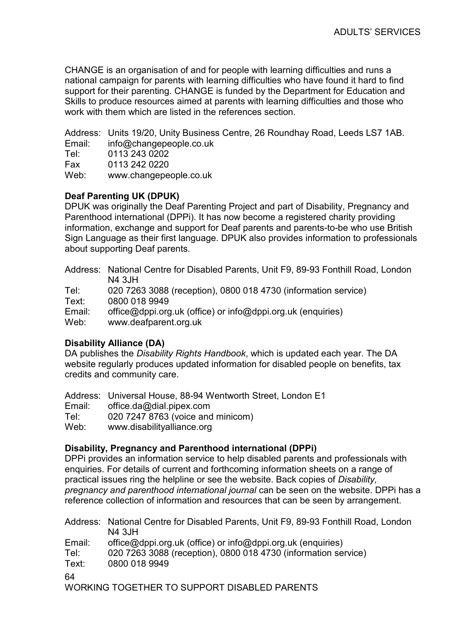CHANGE is an organisation of and for people with learning difficulties and runs a national campaign for parents with learning difficulties who have found it hard to find support for their parenting. CHANGE is funded by the Department for Education and Skills to produce resources aimed at parents with learning difficulties and those who work with them which are listed in the references section.

Address: Units 19/20, Unity Business Centre, 26 Roundhay Road, Leeds LS7 1AB.

Email: info@changepeople.co.uk

Tel: 0113 243 0202

Fax 0113 242 0220

Web: www.changepeople.co.uk

#### Deaf Parenting UK (DPUK)

DPUK was originally the Deaf Parenting Project and part of Disability, Pregnancy and Parenthood international (DPPi). It has now become a registered charity providing information, exchange and support for Deaf parents and parents-to-be who use British Sign Language as their first language. DPUK also provides information to professionals about supporting Deaf parents.

Address: National Centre for Disabled Parents, Unit F9, 89-93 Fonthill Road, London N4 3JH

Tel: 020 7263 3088 (reception), 0800 018 4730 (information service)

Text: 0800 018 9949

Email: office@dppi.org.uk (office) or info@dppi.org.uk (enquiries)

Web: www.deafparent.org.uk

#### Disability Alliance (DA)

DA publishes the Disability Rights Handbook, which is updated each year. The DA website regularly produces updated information for disabled people on benefits, tax credits and community care.

Address: Universal House, 88-94 Wentworth Street, London E1 Email: office.da@dial.pipex.com Tel: 020 7247 8763 (voice and minicom) Web: www.disabilityalliance.org

#### Disability, Pregnancy and Parenthood international (DPPi)

DPPi provides an information service to help disabled parents and professionals with enquiries. For details of current and forthcoming information sheets on a range of practical issues ring the helpline or see the website. Back copies of Disability, pregnancy and parenthood international journal can be seen on the website. DPPi has a reference collection of information and resources that can be seen by arrangement.

64 Address: National Centre for Disabled Parents, Unit F9, 89-93 Fonthill Road, London N4 3JH Email: office@dppi.org.uk (office) or info@dppi.org.uk (enquiries) Tel: 020 7263 3088 (reception), 0800 018 4730 (information service) Text: 0800 018 9949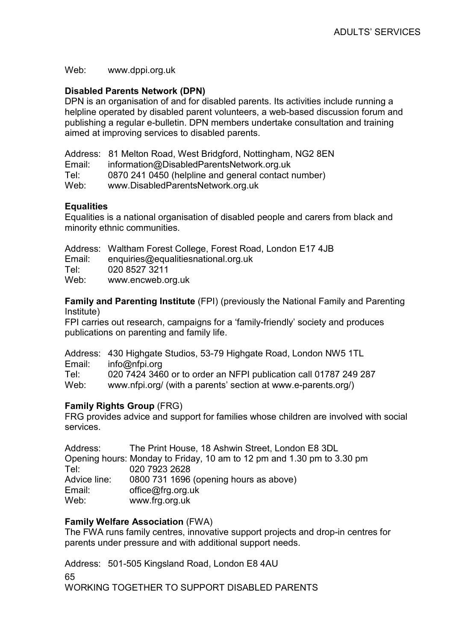Web: www.dppi.org.uk

#### Disabled Parents Network (DPN)

DPN is an organisation of and for disabled parents. Its activities include running a helpline operated by disabled parent volunteers, a web-based discussion forum and publishing a regular e-bulletin. DPN members undertake consultation and training aimed at improving services to disabled parents.

|        | Address: 81 Melton Road, West Bridgford, Nottingham, NG2 8EN |
|--------|--------------------------------------------------------------|
| Email: | information@DisabledParentsNetwork.org.uk                    |
| Tel:   | 0870 241 0450 (helpline and general contact number)          |
| Web:   | www.DisabledParentsNetwork.org.uk                            |

#### **Equalities**

Equalities is a national organisation of disabled people and carers from black and minority ethnic communities.

|  |  |  |  | Address: Waltham Forest College, Forest Road, London E17 4JB |
|--|--|--|--|--------------------------------------------------------------|
|--|--|--|--|--------------------------------------------------------------|

Email: enquiries@equalitiesnational.org.uk

Tel: 020 8527 3211

Web: www.encweb.org.uk

Family and Parenting Institute (FPI) (previously the National Family and Parenting Institute)

FPI carries out research, campaigns for a 'family-friendly' society and produces publications on parenting and family life.

Address: 430 Highgate Studios, 53-79 Highgate Road, London NW5 1TL Email: info@nfpi.org Tel: 020 7424 3460 or to order an NFPI publication call 01787 249 287 Web: www.nfpi.org/ (with a parents' section at www.e-parents.org/)

#### Family Rights Group (FRG)

FRG provides advice and support for families whose children are involved with social services.

| Address:     | The Print House, 18 Ashwin Street, London E8 3DL                       |
|--------------|------------------------------------------------------------------------|
|              | Opening hours: Monday to Friday, 10 am to 12 pm and 1.30 pm to 3.30 pm |
| Tel          | 020 7923 2628                                                          |
| Advice line: | 0800 731 1696 (opening hours as above)                                 |
| Email:       | office@frg.org.uk                                                      |
| Web:         | www.frg.org.uk                                                         |

#### Family Welfare Association (FWA)

The FWA runs family centres, innovative support projects and drop-in centres for parents under pressure and with additional support needs.

65 Address: 501-505 Kingsland Road, London E8 4AU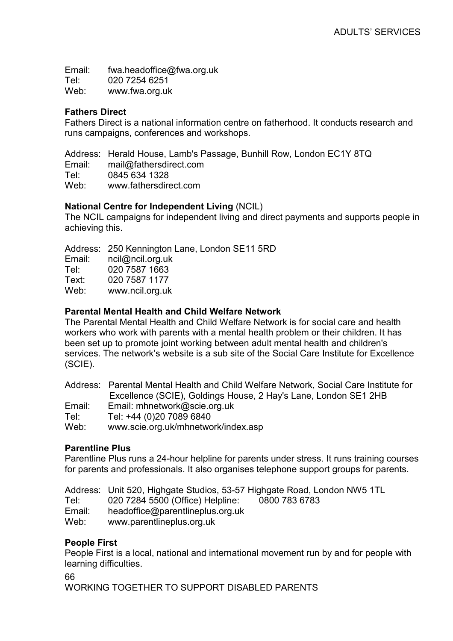Email: fwa.headoffice@fwa.org.uk Tel: 020 7254 6251 Web: www.fwa.org.uk

#### Fathers Direct

Fathers Direct is a national information centre on fatherhood. It conducts research and runs campaigns, conferences and workshops.

Address: Herald House, Lamb's Passage, Bunhill Row, London EC1Y 8TQ Email: mail@fathersdirect.com Tel: 0845 634 1328 Web: www.fathersdirect.com

#### National Centre for Independent Living (NCIL)

The NCIL campaigns for independent living and direct payments and supports people in achieving this.

Address: 250 Kennington Lane, London SE11 5RD

| Email: | ncil@ncil.org.uk |
|--------|------------------|
| Tel:   | 020 7587 1663    |
| Text:  | 020 7587 1177    |
| Web:   | www.ncil.org.uk  |

#### Parental Mental Health and Child Welfare Network

The Parental Mental Health and Child Welfare Network is for social care and health workers who work with parents with a mental health problem or their children. It has been set up to promote joint working between adult mental health and children's services. The network's website is a sub site of the Social Care Institute for Excellence (SCIE).

Address: Parental Mental Health and Child Welfare Network, Social Care Institute for Excellence (SCIE), Goldings House, 2 Hay's Lane, London SE1 2HB Email: Email: mhnetwork@scie.org.uk Tel: Tel: +44 (0)20 7089 6840 Web: www.scie.org.uk/mhnetwork/index.asp

#### Parentline Plus

Parentline Plus runs a 24-hour helpline for parents under stress. It runs training courses for parents and professionals. It also organises telephone support groups for parents.

Address: Unit 520, Highgate Studios, 53-57 Highgate Road, London NW5 1TL

Tel: 020 7284 5500 (Office) Helpline: 0800 783 6783

Email: headoffice@parentlineplus.org.uk

Web: www.parentlineplus.org.uk

#### People First

People First is a local, national and international movement run by and for people with learning difficulties.

66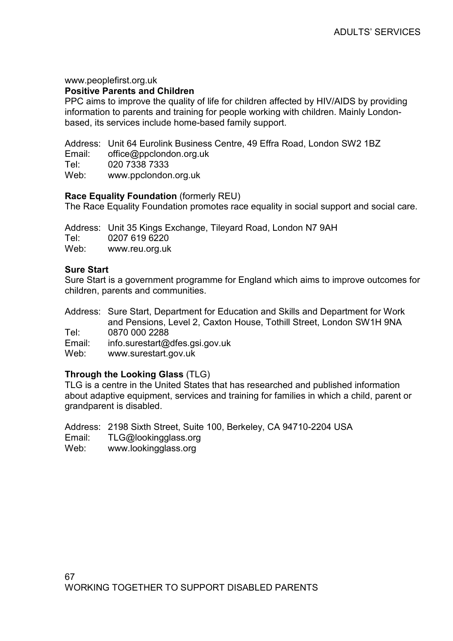#### www.peoplefirst.org.uk

#### Positive Parents and Children

PPC aims to improve the quality of life for children affected by HIV/AIDS by providing information to parents and training for people working with children. Mainly Londonbased, its services include home-based family support.

Address: Unit 64 Eurolink Business Centre, 49 Effra Road, London SW2 1BZ

Email: office@ppclondon.org.uk<br>Tel: 020 7338 7333

Tel: 020 7338 7333<br>
Web: www.ppclondor

Web: www.ppclondon.org.uk

#### Race Equality Foundation (formerly REU)

The Race Equality Foundation promotes race equality in social support and social care.

Address: Unit 35 Kings Exchange, Tileyard Road, London N7 9AH Tel: 0207 619 6220 Web: www.reu.org.uk

#### Sure Start

Sure Start is a government programme for England which aims to improve outcomes for children, parents and communities.

Address: Sure Start, Department for Education and Skills and Department for Work and Pensions, Level 2, Caxton House, Tothill Street, London SW1H 9NA Tel: 0870 000 2288

Email: info.surestart@dfes.gsi.gov.uk

Web: www.surestart.gov.uk

#### Through the Looking Glass (TLG)

TLG is a centre in the United States that has researched and published information about adaptive equipment, services and training for families in which a child, parent or grandparent is disabled.

Address: 2198 Sixth Street, Suite 100, Berkeley, CA 94710-2204 USA

Email: TLG@lookingglass.org

Web: www.lookingglass.org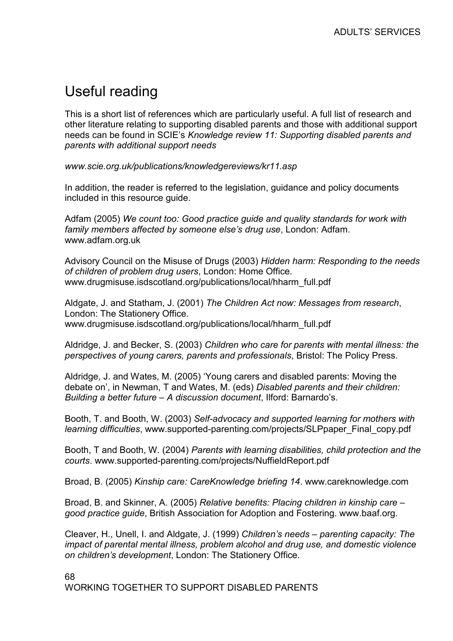# Useful reading

This is a short list of references which are particularly useful. A full list of research and other literature relating to supporting disabled parents and those with additional support needs can be found in SCIE's Knowledge review 11: Supporting disabled parents and parents with additional support needs

www.scie.org.uk/publications/knowledgereviews/kr11.asp

In addition, the reader is referred to the legislation, guidance and policy documents included in this resource guide.

Adfam (2005) We count too: Good practice guide and quality standards for work with family members affected by someone else's drug use, London: Adfam. www.adfam.org.uk

Advisory Council on the Misuse of Drugs (2003) Hidden harm: Responding to the needs of children of problem drug users, London: Home Office. www.drugmisuse.isdscotland.org/publications/local/hharm\_full.pdf

Aldgate, J. and Statham, J. (2001) The Children Act now: Messages from research, London: The Stationery Office. www.drugmisuse.isdscotland.org/publications/local/hharm\_full.pdf

Aldridge, J. and Becker, S. (2003) Children who care for parents with mental illness: the perspectives of young carers, parents and professionals, Bristol: The Policy Press.

Aldridge, J. and Wates, M. (2005) 'Young carers and disabled parents: Moving the debate on', in Newman, T and Wates, M. (eds) Disabled parents and their children: Building a better future – A discussion document, Ilford: Barnardo's.

Booth, T. and Booth, W. (2003) Self-advocacy and supported learning for mothers with learning difficulties, www.supported-parenting.com/projects/SLPpaper\_Final\_copy.pdf

Booth, T and Booth, W. (2004) Parents with learning disabilities, child protection and the courts. www.supported-parenting.com/projects/NuffieldReport.pdf

Broad, B. (2005) Kinship care: CareKnowledge briefing 14. www.careknowledge.com

Broad, B. and Skinner, A. (2005) Relative benefits: Placing children in kinship care – good practice guide, British Association for Adoption and Fostering. www.baaf.org.

Cleaver, H., Unell, I. and Aldgate, J. (1999) Children's needs – parenting capacity: The impact of parental mental illness, problem alcohol and drug use, and domestic violence on children's development, London: The Stationery Office.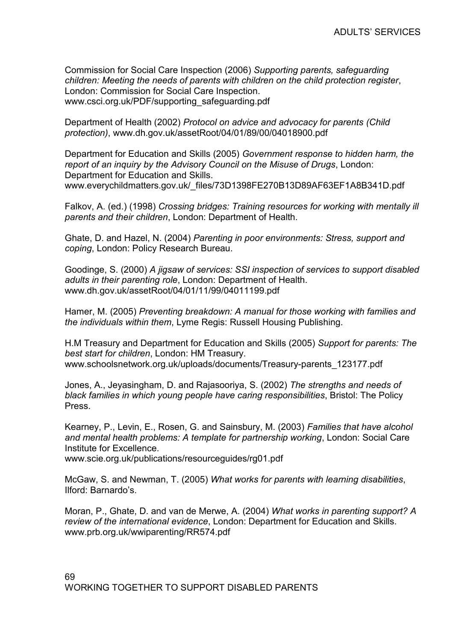Commission for Social Care Inspection (2006) Supporting parents, safeguarding children: Meeting the needs of parents with children on the child protection register, London: Commission for Social Care Inspection. www.csci.org.uk/PDF/supporting\_safeguarding.pdf

Department of Health (2002) Protocol on advice and advocacy for parents (Child protection), www.dh.gov.uk/assetRoot/04/01/89/00/04018900.pdf

Department for Education and Skills (2005) Government response to hidden harm, the report of an inquiry by the Advisory Council on the Misuse of Drugs, London: Department for Education and Skills. www.everychildmatters.gov.uk/\_files/73D1398FE270B13D89AF63EF1A8B341D.pdf

Falkov, A. (ed.) (1998) Crossing bridges: Training resources for working with mentally ill parents and their children, London: Department of Health.

Ghate, D. and Hazel, N. (2004) Parenting in poor environments: Stress, support and coping, London: Policy Research Bureau.

Goodinge, S. (2000) A jigsaw of services: SSI inspection of services to support disabled adults in their parenting role, London: Department of Health. www.dh.gov.uk/assetRoot/04/01/11/99/04011199.pdf

Hamer, M. (2005) Preventing breakdown: A manual for those working with families and the individuals within them, Lyme Regis: Russell Housing Publishing.

H.M Treasury and Department for Education and Skills (2005) Support for parents: The best start for children, London: HM Treasury. www.schoolsnetwork.org.uk/uploads/documents/Treasury-parents\_123177.pdf

Jones, A., Jeyasingham, D. and Rajasooriya, S. (2002) The strengths and needs of black families in which young people have caring responsibilities, Bristol: The Policy Press.

Kearney, P., Levin, E., Rosen, G. and Sainsbury, M. (2003) Families that have alcohol and mental health problems: A template for partnership working, London: Social Care Institute for Excellence.

www.scie.org.uk/publications/resourceguides/rg01.pdf

McGaw, S. and Newman, T. (2005) What works for parents with learning disabilities, Ilford: Barnardo's.

Moran, P., Ghate, D. and van de Merwe, A. (2004) What works in parenting support? A review of the international evidence, London: Department for Education and Skills. www.prb.org.uk/wwiparenting/RR574.pdf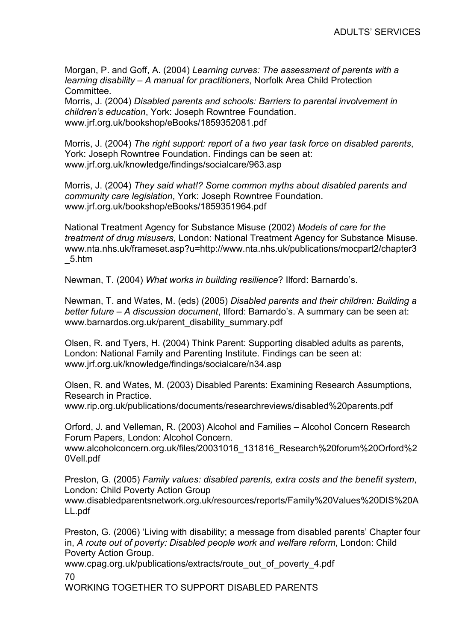Morgan, P. and Goff, A. (2004) Learning curves: The assessment of parents with a learning disability – A manual for practitioners, Norfolk Area Child Protection Committee.

Morris, J. (2004) Disabled parents and schools: Barriers to parental involvement in children's education, York: Joseph Rowntree Foundation. www.jrf.org.uk/bookshop/eBooks/1859352081.pdf

Morris, J. (2004) The right support: report of a two year task force on disabled parents, York: Joseph Rowntree Foundation. Findings can be seen at: www.jrf.org.uk/knowledge/findings/socialcare/963.asp

Morris, J. (2004) They said what!? Some common myths about disabled parents and community care legislation, York: Joseph Rowntree Foundation. www.jrf.org.uk/bookshop/eBooks/1859351964.pdf

National Treatment Agency for Substance Misuse (2002) Models of care for the treatment of drug misusers, London: National Treatment Agency for Substance Misuse. www.nta.nhs.uk/frameset.asp?u=http://www.nta.nhs.uk/publications/mocpart2/chapter3 \_5.htm

Newman, T. (2004) What works in building resilience? Ilford: Barnardo's.

Newman, T. and Wates, M. (eds) (2005) Disabled parents and their children: Building a better future – A discussion document, Ilford: Barnardo's. A summary can be seen at: www.barnardos.org.uk/parent\_disability\_summary.pdf

Olsen, R. and Tyers, H. (2004) Think Parent: Supporting disabled adults as parents, London: National Family and Parenting Institute. Findings can be seen at: www.jrf.org.uk/knowledge/findings/socialcare/n34.asp

Olsen, R. and Wates, M. (2003) Disabled Parents: Examining Research Assumptions, Research in Practice. www.rip.org.uk/publications/documents/researchreviews/disabled%20parents.pdf

Orford, J. and Velleman, R. (2003) Alcohol and Families – Alcohol Concern Research Forum Papers, London: Alcohol Concern.

www.alcoholconcern.org.uk/files/20031016\_131816\_Research%20forum%20Orford%2 0Vell.pdf

Preston, G. (2005) Family values: disabled parents, extra costs and the benefit system, London: Child Poverty Action Group www.disabledparentsnetwork.org.uk/resources/reports/Family%20Values%20DIS%20A LL.pdf

Preston, G. (2006) 'Living with disability; a message from disabled parents' Chapter four in, A route out of poverty: Disabled people work and welfare reform, London: Child Poverty Action Group.

70 www.cpag.org.uk/publications/extracts/route\_out\_of\_poverty\_4.pdf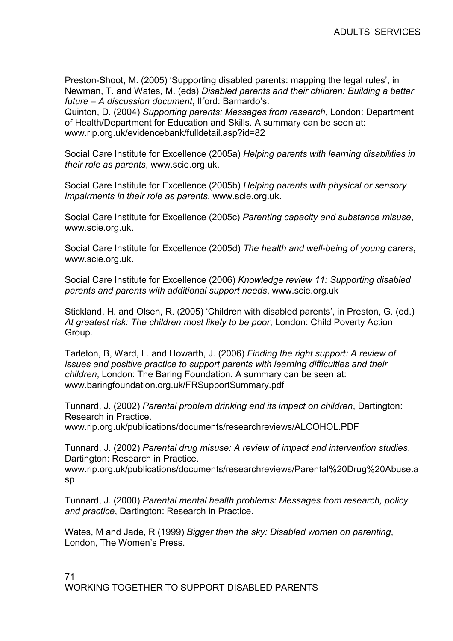Preston-Shoot, M. (2005) 'Supporting disabled parents: mapping the legal rules', in Newman, T. and Wates, M. (eds) Disabled parents and their children: Building a better future – A discussion document, Ilford: Barnardo's.

Quinton, D. (2004) Supporting parents: Messages from research, London: Department of Health/Department for Education and Skills. A summary can be seen at: www.rip.org.uk/evidencebank/fulldetail.asp?id=82

Social Care Institute for Excellence (2005a) Helping parents with learning disabilities in their role as parents, www.scie.org.uk.

Social Care Institute for Excellence (2005b) Helping parents with physical or sensory impairments in their role as parents, www.scie.org.uk.

Social Care Institute for Excellence (2005c) Parenting capacity and substance misuse, www.scie.org.uk.

Social Care Institute for Excellence (2005d) The health and well-being of young carers, www.scie.org.uk.

Social Care Institute for Excellence (2006) Knowledge review 11: Supporting disabled parents and parents with additional support needs, www.scie.org.uk

Stickland, H. and Olsen, R. (2005) 'Children with disabled parents', in Preston, G. (ed.) At greatest risk: The children most likely to be poor, London: Child Poverty Action Group.

Tarleton, B, Ward, L. and Howarth, J. (2006) Finding the right support: A review of issues and positive practice to support parents with learning difficulties and their children, London: The Baring Foundation. A summary can be seen at: www.baringfoundation.org.uk/FRSupportSummary.pdf

Tunnard, J. (2002) Parental problem drinking and its impact on children, Dartington: Research in Practice.

www.rip.org.uk/publications/documents/researchreviews/ALCOHOL.PDF

Tunnard, J. (2002) Parental drug misuse: A review of impact and intervention studies, Dartington: Research in Practice.

www.rip.org.uk/publications/documents/researchreviews/Parental%20Drug%20Abuse.a sp

Tunnard, J. (2000) Parental mental health problems: Messages from research, policy and practice, Dartington: Research in Practice.

Wates, M and Jade, R (1999) Bigger than the sky: Disabled women on parenting, London, The Women's Press.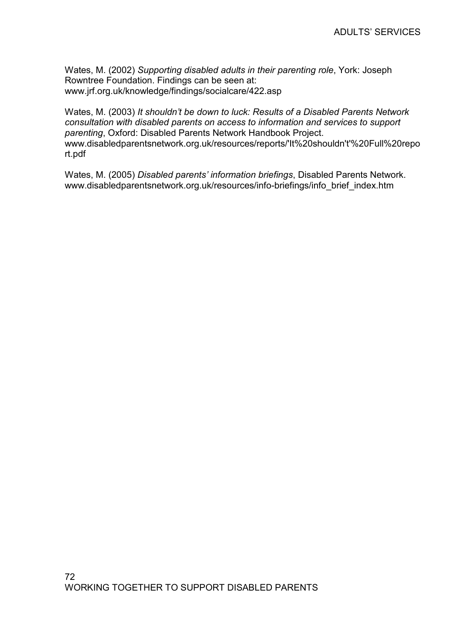Wates, M. (2002) Supporting disabled adults in their parenting role, York: Joseph Rowntree Foundation. Findings can be seen at: www.jrf.org.uk/knowledge/findings/socialcare/422.asp

Wates, M. (2003) It shouldn't be down to luck: Results of a Disabled Parents Network consultation with disabled parents on access to information and services to support parenting, Oxford: Disabled Parents Network Handbook Project. www.disabledparentsnetwork.org.uk/resources/reports/'It%20shouldn't'%20Full%20repo rt.pdf

Wates, M. (2005) Disabled parents' information briefings, Disabled Parents Network. www.disabledparentsnetwork.org.uk/resources/info-briefings/info\_brief\_index.htm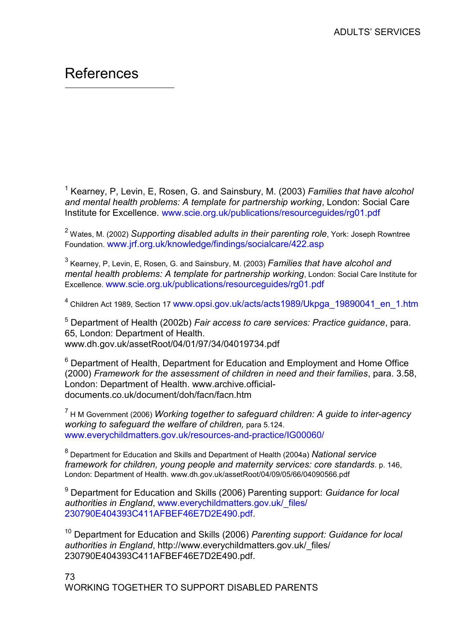## References

 $\overline{a}$ 

<sup>1</sup> Kearney, P, Levin, E, Rosen, G. and Sainsbury, M. (2003) Families that have alcohol and mental health problems: A template for partnership working, London: Social Care Institute for Excellence. www.scie.org.uk/publications/resourceguides/rg01.pdf

 $^{\text{2}}$  Wates, M. (2002) Supporting disabled adults in their parenting role, York: Joseph Rowntree Foundation. www.jrf.org.uk/knowledge/findings/socialcare/422.asp

 $^3$  Kearney, P, Levin, E, Rosen, G. and Sainsbury, M. (2003)  $\bar{F}$ amilies that have alcohol and mental health problems: A template for partnership working, London: Social Care Institute for Excellence. www.scie.org.uk/publications/resourceguides/rg01.pdf

<sup>4</sup> Children Act 1989, Section 17 www.opsi.gov.uk/acts/acts1989/Ukpga\_19890041\_en\_1.htm

<sup>5</sup> Department of Health (2002b) Fair access to care services: Practice guidance, para. 65, London: Department of Health. www.dh.gov.uk/assetRoot/04/01/97/34/04019734.pdf

 $6$  Department of Health, Department for Education and Employment and Home Office (2000) Framework for the assessment of children in need and their families, para. 3.58, London: Department of Health. www.archive.officialdocuments.co.uk/document/doh/facn/facn.htm

 $^7$  H M Government (2006) Working together to safeguard children: A guide to inter-agency working to safeguard the welfare of children, para 5.124. www.everychildmatters.gov.uk/resources-and-practice/IG00060/

<sup>8</sup> Department for Education and Skills and Department of Health (2004a) National service framework for children, young people and maternity services: core standards. p. 146, London: Department of Health. www.dh.gov.uk/assetRoot/04/09/05/66/04090566.pdf

<sup>9</sup> Department for Education and Skills (2006) Parenting support: Guidance for local authorities in England, www.everychildmatters.gov.uk/ files/ 230790E404393C411AFBEF46E7D2E490.pdf.

<sup>10</sup> Department for Education and Skills (2006) Parenting support: Guidance for local authorities in England, http://www.everychildmatters.gov.uk/ files/ 230790E404393C411AFBEF46E7D2E490.pdf.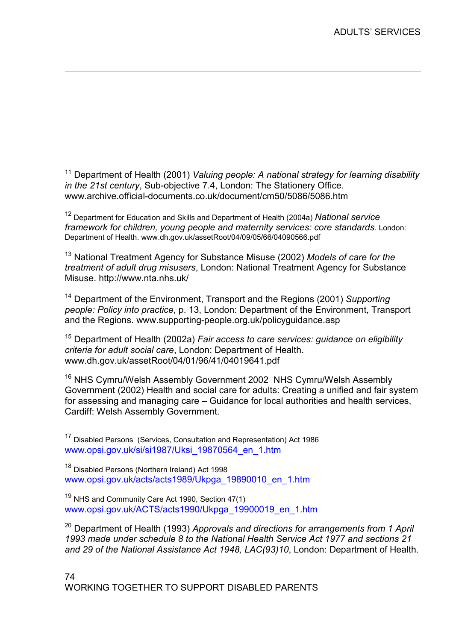<sup>11</sup> Department of Health (2001) Valuing people: A national strategy for learning disability in the 21st century, Sub-objective 7.4, London: The Stationery Office. www.archive.official-documents.co.uk/document/cm50/5086/5086.htm

<u>.</u>

<sup>12</sup> Department for Education and Skills and Department of Health (2004a) National service framework for children, young people and maternity services: core standards. London: Department of Health. www.dh.gov.uk/assetRoot/04/09/05/66/04090566.pdf

<sup>13</sup> National Treatment Agency for Substance Misuse (2002) Models of care for the treatment of adult drug misusers, London: National Treatment Agency for Substance Misuse. http://www.nta.nhs.uk/

<sup>14</sup> Department of the Environment, Transport and the Regions (2001) Supporting people: Policy into practice, p. 13, London: Department of the Environment, Transport and the Regions. www.supporting-people.org.uk/policyguidance.asp

 $15$  Department of Health (2002a) Fair access to care services: quidance on eligibility criteria for adult social care, London: Department of Health. www.dh.gov.uk/assetRoot/04/01/96/41/04019641.pdf

<sup>16</sup> NHS Cymru/Welsh Assembly Government 2002 NHS Cymru/Welsh Assembly Government (2002) Health and social care for adults: Creating a unified and fair system for assessing and managing care – Guidance for local authorities and health services, Cardiff: Welsh Assembly Government.

<sup>17</sup> Disabled Persons (Services, Consultation and Representation) Act 1986 www.opsi.gov.uk/si/si1987/Uksi\_19870564\_en\_1.htm

<sup>18</sup> Disabled Persons (Northern Ireland) Act 1998 www.opsi.gov.uk/acts/acts1989/Ukpga\_19890010\_en\_1.htm

<sup>19</sup> NHS and Community Care Act 1990, Section 47(1) www.opsi.gov.uk/ACTS/acts1990/Ukpga\_19900019\_en\_1.htm

 $20$  Department of Health (1993) Approvals and directions for arrangements from 1 April 1993 made under schedule 8 to the National Health Service Act 1977 and sections 21 and 29 of the National Assistance Act 1948, LAC(93)10, London: Department of Health.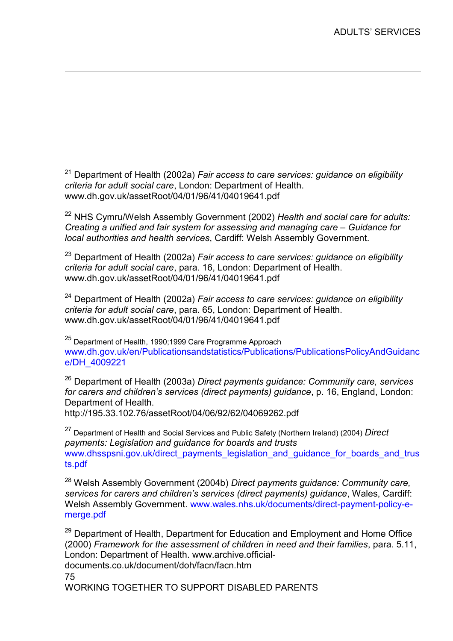$21$  Department of Health (2002a) Fair access to care services: guidance on eligibility criteria for adult social care, London: Department of Health. www.dh.gov.uk/assetRoot/04/01/96/41/04019641.pdf

 $22$  NHS Cymru/Welsh Assembly Government (2002) Health and social care for adults: Creating a unified and fair system for assessing and managing care – Guidance for local authorities and health services, Cardiff: Welsh Assembly Government.

 $23$  Department of Health (2002a) Fair access to care services: guidance on eligibility criteria for adult social care, para. 16, London: Department of Health. www.dh.gov.uk/assetRoot/04/01/96/41/04019641.pdf

 $24$  Department of Health (2002a) Fair access to care services: guidance on eligibility criteria for adult social care, para. 65, London: Department of Health. www.dh.gov.uk/assetRoot/04/01/96/41/04019641.pdf

<sup>25</sup> Department of Health, 1990;1999 Care Programme Approach www.dh.gov.uk/en/Publicationsandstatistics/Publications/PublicationsPolicyAndGuidanc e/DH\_4009221

 $26$  Department of Health (2003a) Direct payments quidance: Community care, services for carers and children's services (direct payments) guidance, p. 16, England, London: Department of Health.

http://195.33.102.76/assetRoot/04/06/92/62/04069262.pdf

<u>.</u>

 $27$  Department of Health and Social Services and Public Safety (Northern Ireland) (2004) Direct payments: Legislation and guidance for boards and trusts www.dhsspsni.gov.uk/direct\_payments\_legislation\_and\_guidance\_for\_boards\_and\_trus ts.pdf

<sup>28</sup> Welsh Assembly Government (2004b) Direct payments guidance: Community care, services for carers and children's services (direct payments) guidance, Wales, Cardiff: Welsh Assembly Government. www.wales.nhs.uk/documents/direct-payment-policy-emerge.pdf

75  $29$  Department of Health, Department for Education and Employment and Home Office (2000) Framework for the assessment of children in need and their families, para. 5.11, London: Department of Health. www.archive.officialdocuments.co.uk/document/doh/facn/facn.htm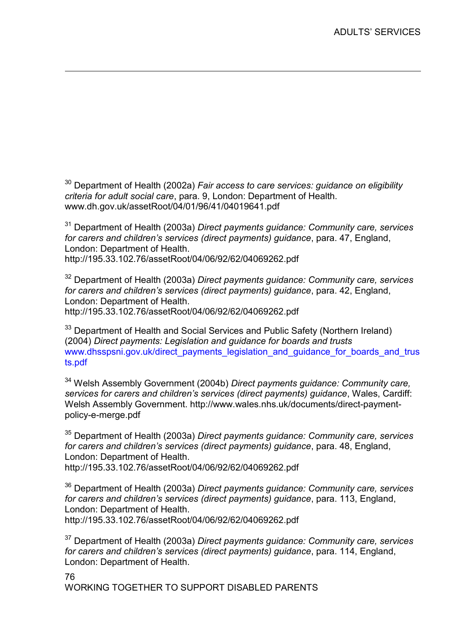$30$  Department of Health (2002a) Fair access to care services: guidance on eligibility criteria for adult social care, para. 9, London: Department of Health. www.dh.gov.uk/assetRoot/04/01/96/41/04019641.pdf

<u>.</u>

 $31$  Department of Health (2003a) Direct payments guidance: Community care, services for carers and children's services (direct payments) guidance, para. 47, England, London: Department of Health. http://195.33.102.76/assetRoot/04/06/92/62/04069262.pdf

 $32$  Department of Health (2003a) Direct payments quidance: Community care, services for carers and children's services (direct payments) guidance, para. 42, England, London: Department of Health. http://195.33.102.76/assetRoot/04/06/92/62/04069262.pdf

<sup>33</sup> Department of Health and Social Services and Public Safety (Northern Ireland) (2004) Direct payments: Legislation and guidance for boards and trusts www.dhsspsni.gov.uk/direct\_payments\_legislation\_and\_guidance\_for\_boards\_and\_trus ts.pdf

 $34$  Welsh Assembly Government (2004b) Direct payments quidance: Community care, services for carers and children's services (direct payments) guidance, Wales, Cardiff: Welsh Assembly Government. http://www.wales.nhs.uk/documents/direct-paymentpolicy-e-merge.pdf

<sup>35</sup> Department of Health (2003a) Direct payments guidance: Community care, services for carers and children's services (direct payments) guidance, para. 48, England, London: Department of Health. http://195.33.102.76/assetRoot/04/06/92/62/04069262.pdf

 $36$  Department of Health (2003a) Direct payments guidance: Community care, services for carers and children's services (direct payments) guidance, para. 113, England, London: Department of Health.

http://195.33.102.76/assetRoot/04/06/92/62/04069262.pdf

 $37$  Department of Health (2003a) Direct payments guidance: Community care, services for carers and children's services (direct payments) guidance, para. 114, England, London: Department of Health.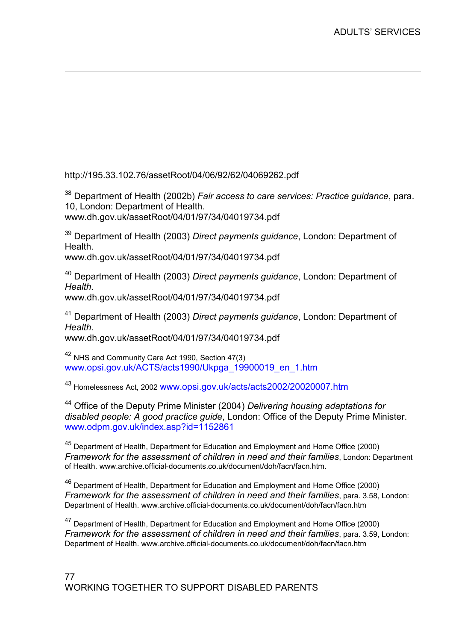http://195.33.102.76/assetRoot/04/06/92/62/04069262.pdf

 $38$  Department of Health (2002b) Fair access to care services: Practice quidance, para. 10, London: Department of Health.

www.dh.gov.uk/assetRoot/04/01/97/34/04019734.pdf

<u>.</u>

 $39$  Department of Health (2003) Direct payments guidance, London: Department of **Health** 

www.dh.gov.uk/assetRoot/04/01/97/34/04019734.pdf

<sup>40</sup> Department of Health (2003) Direct payments guidance, London: Department of Health.

www.dh.gov.uk/assetRoot/04/01/97/34/04019734.pdf

 $41$  Department of Health (2003) Direct payments guidance, London: Department of Health. www.dh.gov.uk/assetRoot/04/01/97/34/04019734.pdf

<sup>42</sup> NHS and Community Care Act 1990, Section 47(3) www.opsi.gov.uk/ACTS/acts1990/Ukpga\_19900019\_en\_1.htm

<sup>43</sup> Homelessness Act, 2002 www.opsi.gov.uk/acts/acts2002/20020007.htm

<sup>44</sup> Office of the Deputy Prime Minister (2004) Delivering housing adaptations for disabled people: A good practice guide, London: Office of the Deputy Prime Minister. www.odpm.gov.uk/index.asp?id=1152861

<sup>45</sup> Department of Health, Department for Education and Employment and Home Office (2000) Framework for the assessment of children in need and their families, London: Department of Health. www.archive.official-documents.co.uk/document/doh/facn/facn.htm.

<sup>46</sup> Department of Health, Department for Education and Employment and Home Office (2000) Framework for the assessment of children in need and their families, para. 3.58, London: Department of Health. www.archive.official-documents.co.uk/document/doh/facn/facn.htm

<sup>47</sup> Department of Health, Department for Education and Employment and Home Office (2000) Framework for the assessment of children in need and their families, para. 3.59, London: Department of Health. www.archive.official-documents.co.uk/document/doh/facn/facn.htm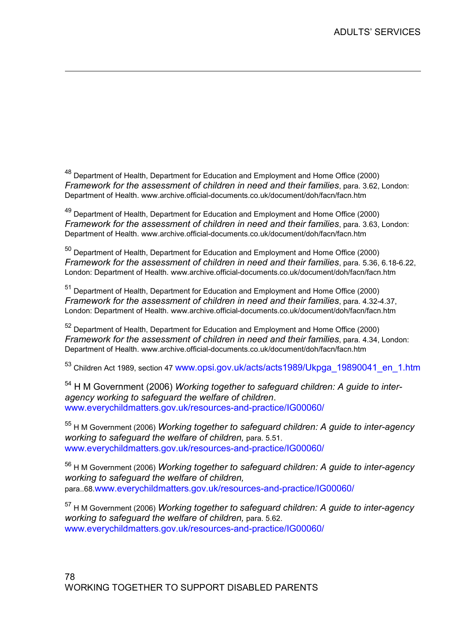48 Department of Health, Department for Education and Employment and Home Office (2000) Framework for the assessment of children in need and their families, para. 3.62, London: Department of Health. www.archive.official-documents.co.uk/document/doh/facn/facn.htm

<u>.</u>

<sup>49</sup> Department of Health, Department for Education and Employment and Home Office (2000) Framework for the assessment of children in need and their families, para. 3.63, London: Department of Health. www.archive.official-documents.co.uk/document/doh/facn/facn.htm

<sup>50</sup> Department of Health, Department for Education and Employment and Home Office (2000) Framework for the assessment of children in need and their families, para. 5.36, 6.18-6.22, London: Department of Health. www.archive.official-documents.co.uk/document/doh/facn/facn.htm

<sup>51</sup> Department of Health, Department for Education and Employment and Home Office (2000) Framework for the assessment of children in need and their families, para. 4.32-4.37, London: Department of Health. www.archive.official-documents.co.uk/document/doh/facn/facn.htm

<sup>52</sup> Department of Health, Department for Education and Employment and Home Office (2000) Framework for the assessment of children in need and their families, para. 4.34, London: Department of Health. www.archive.official-documents.co.uk/document/doh/facn/facn.htm

<sup>53</sup> Children Act 1989, section 47 www.opsi.gov.uk/acts/acts1989/Ukpga\_19890041\_en\_1.htm

 $54$  H M Government (2006) Working together to safeguard children: A guide to interagency working to safeguard the welfare of children. www.everychildmatters.gov.uk/resources-and-practice/IG00060/

 $55$  H M Government (2006) Working together to safeguard children: A guide to inter-agency working to safeguard the welfare of children, para. 5.51. www.everychildmatters.gov.uk/resources-and-practice/IG00060/

 $56$  H M Government (2006) Working together to safeguard children: A guide to inter-agency working to safeguard the welfare of children, para..68.www.everychildmatters.gov.uk/resources-and-practice/IG00060/

 $57$  H M Government (2006) Working together to safeguard children: A guide to inter-agency working to safeguard the welfare of children, para. 5.62. www.everychildmatters.gov.uk/resources-and-practice/IG00060/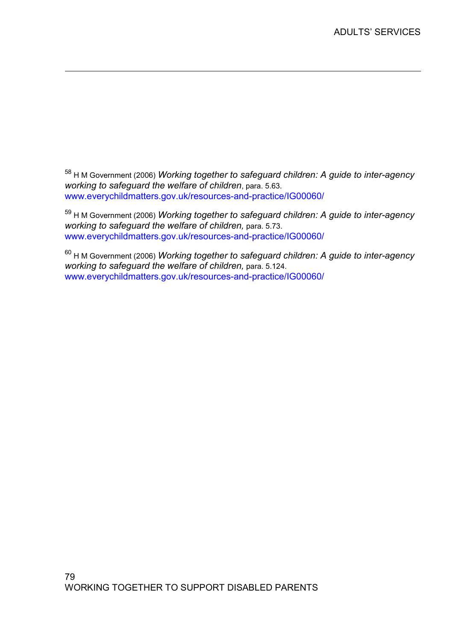58 H M Government (2006) Working together to safeguard children: A guide to inter-agency working to safeguard the welfare of children, para. 5.63. www.everychildmatters.gov.uk/resources-and-practice/IG00060/

<u>.</u>

59 H M Government (2006) Working together to safeguard children: A guide to inter-agency working to safeguard the welfare of children, para. 5.73. www.everychildmatters.gov.uk/resources-and-practice/IG00060/

 $60$  H M Government (2006) Working together to safeguard children: A guide to inter-agency working to safeguard the welfare of children, para. 5.124. www.everychildmatters.gov.uk/resources-and-practice/IG00060/